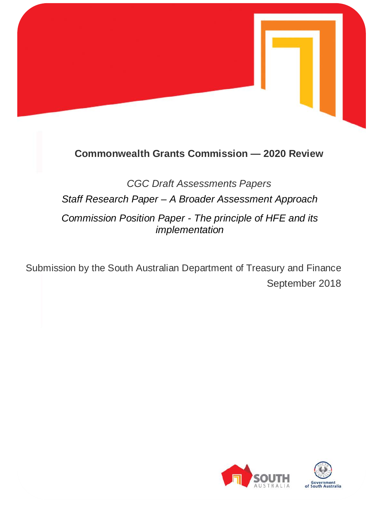

## **Commonwealth Grants Commission — 2020 Review**

*CGC Draft Assessments Papers Staff Research Paper – A Broader Assessment Approach Commission Position Paper - The principle of HFE and its implementation*

Submission by the South Australian Department of Treasury and Finance September 2018

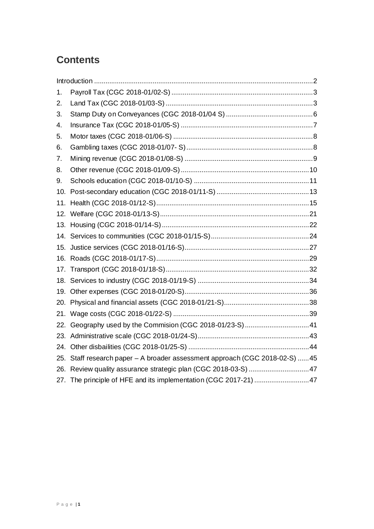# **Contents**

| 1.  |                                                                             |  |
|-----|-----------------------------------------------------------------------------|--|
| 2.  |                                                                             |  |
| 3.  |                                                                             |  |
| 4.  |                                                                             |  |
| 5.  |                                                                             |  |
| 6.  |                                                                             |  |
| 7.  |                                                                             |  |
| 8.  |                                                                             |  |
| 9.  |                                                                             |  |
| 10. |                                                                             |  |
| 11. |                                                                             |  |
|     |                                                                             |  |
|     |                                                                             |  |
|     |                                                                             |  |
|     |                                                                             |  |
|     |                                                                             |  |
| 17. |                                                                             |  |
|     |                                                                             |  |
|     |                                                                             |  |
|     |                                                                             |  |
|     |                                                                             |  |
|     | 22. Geography used by the Commision (CGC 2018-01/23-S) 41                   |  |
|     |                                                                             |  |
|     |                                                                             |  |
|     | 25. Staff research paper - A broader assessment approach (CGC 2018-02-S) 45 |  |
|     | 26. Review quality assurance strategic plan (CGC 2018-03-S)  47             |  |
|     | 27. The principle of HFE and its implementation (CGC 2017-21)  47           |  |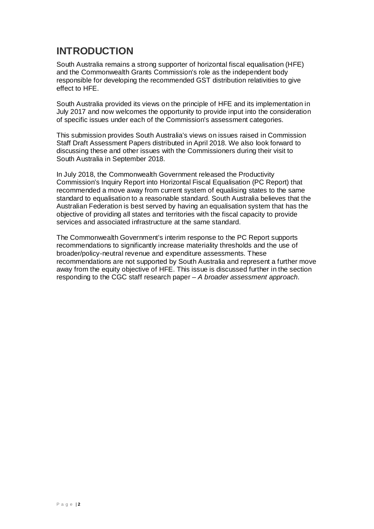### <span id="page-2-0"></span>**INTRODUCTION**

South Australia remains a strong supporter of horizontal fiscal equalisation (HFE) and the Commonwealth Grants Commission's role as the independent body responsible for developing the recommended GST distribution relativities to give effect to HFE.

South Australia provided its views on the principle of HFE and its implementation in July 2017 and now welcomes the opportunity to provide input into the consideration of specific issues under each of the Commission's assessment categories.

This submission provides South Australia's views on issues raised in Commission Staff Draft Assessment Papers distributed in April 2018. We also look forward to discussing these and other issues with the Commissioners during their visit to South Australia in September 2018.

In July 2018, the Commonwealth Government released the Productivity Commission's Inquiry Report into Horizontal Fiscal Equalisation (PC Report) that recommended a move away from current system of equalising states to the same standard to equalisation to a reasonable standard. South Australia believes that the Australian Federation is best served by having an equalisation system that has the objective of providing all states and territories with the fiscal capacity to provide services and associated infrastructure at the same standard.

The Commonwealth Government's interim response to the PC Report supports recommendations to significantly increase materiality thresholds and the use of broader/policy-neutral revenue and expenditure assessments. These recommendations are not supported by South Australia and represent a further move away from the equity objective of HFE. This issue is discussed further in the section responding to the CGC staff research paper – *A broader assessment approach*.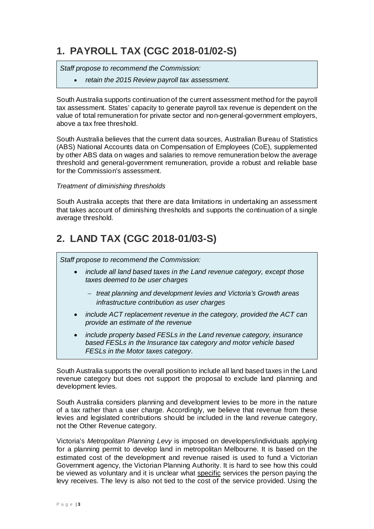# <span id="page-3-0"></span>**1. PAYROLL TAX (CGC 2018-01/02-S)**

*Staff propose to recommend the Commission:*

• *retain the 2015 Review payroll tax assessment.*

South Australia supports continuation of the current assessment method for the payroll tax assessment. States' capacity to generate payroll tax revenue is dependent on the value of total remuneration for private sector and non-general-government employers, above a tax free threshold.

South Australia believes that the current data sources, Australian Bureau of Statistics (ABS) National Accounts data on Compensation of Employees (CoE), supplemented by other ABS data on wages and salaries to remove remuneration below the average threshold and general-government remuneration, provide a robust and reliable base for the Commission's assessment.

#### *Treatment of diminishing thresholds*

South Australia accepts that there are data limitations in undertaking an assessment that takes account of diminishing thresholds and supports the continuation of a single average threshold.

# <span id="page-3-1"></span>**2. LAND TAX (CGC 2018-01/03-S)**

*Staff propose to recommend the Commission:*

- *include all land based taxes in the Land revenue category, except those taxes deemed to be user charges*
	- − *treat planning and development levies and Victoria's Growth areas infrastructure contribution as user charges*
- *include ACT replacement revenue in the category, provided the ACT can provide an estimate of the revenue*
- *include property based FESLs in the Land revenue category, insurance based FESLs in the Insurance tax category and motor vehicle based FESLs in the Motor taxes category.*

South Australia supports the overall position to include all land based taxes in the Land revenue category but does not support the proposal to exclude land planning and development levies.

South Australia considers planning and development levies to be more in the nature of a tax rather than a user charge. Accordingly, we believe that revenue from these levies and legislated contributions should be included in the land revenue category, not the Other Revenue category.

Victoria's *Metropolitan Planning Levy* is imposed on developers/individuals applying for a planning permit to develop land in metropolitan Melbourne. It is based on the estimated cost of the development and revenue raised is used to fund a Victorian Government agency, the Victorian Planning Authority. It is hard to see how this could be viewed as voluntary and it is unclear what specific services the person paying the levy receives. The levy is also not tied to the cost of the service provided. Using the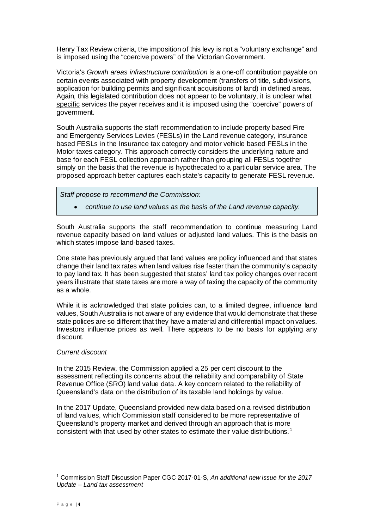Henry Tax Review criteria, the imposition of this levy is not a "voluntary exchange" and is imposed using the "coercive powers" of the Victorian Government.

Victoria's *Growth areas infrastructure contribution* is a one-off contribution payable on certain events associated with property development (transfers of title, subdivisions, application for building permits and significant acquisitions of land) in defined areas. Again, this legislated contribution does not appear to be voluntary, it is unclear what specific services the payer receives and it is imposed using the "coercive" powers of government.

South Australia supports the staff recommendation to include property based Fire and Emergency Services Levies (FESLs) in the Land revenue category, insurance based FESLs in the Insurance tax category and motor vehicle based FESLs in the Motor taxes category. This approach correctly considers the underlying nature and base for each FESL collection approach rather than grouping all FESLs together simply on the basis that the revenue is hypothecated to a particular service area. The proposed approach better captures each state's capacity to generate FESL revenue.

*Staff propose to recommend the Commission:*

• *continue to use land values as the basis of the Land revenue capacity.*

South Australia supports the staff recommendation to continue measuring Land revenue capacity based on land values or adjusted land values. This is the basis on which states impose land-based taxes.

One state has previously argued that land values are policy influenced and that states change their land tax rates when land values rise faster than the community's capacity to pay land tax. It has been suggested that states' land tax policy changes over recent years illustrate that state taxes are more a way of taxing the capacity of the community as a whole.

While it is acknowledged that state policies can, to a limited degree, influence land values, South Australia is not aware of any evidence that would demonstrate that these state polices are so different that they have a material and differential impact on values. Investors influence prices as well. There appears to be no basis for applying any discount.

#### *Current discount*

In the 2015 Review, the Commission applied a 25 per cent discount to the assessment reflecting its concerns about the reliability and comparability of State Revenue Office (SRO) land value data. A key concern related to the reliability of Queensland's data on the distribution of its taxable land holdings by value.

In the 2017 Update, Queensland provided new data based on a revised distribution of land values, which Commission staff considered to be more representative of Queensland's property market and derived through an approach that is more consistent with that used by other states to estimate their value distributions.[1](#page-4-0)

<span id="page-4-0"></span> <sup>1</sup> Commission Staff Discussion Paper CGC 2017-01-S, *An additional new issue for the 2017 Update – Land tax assessment*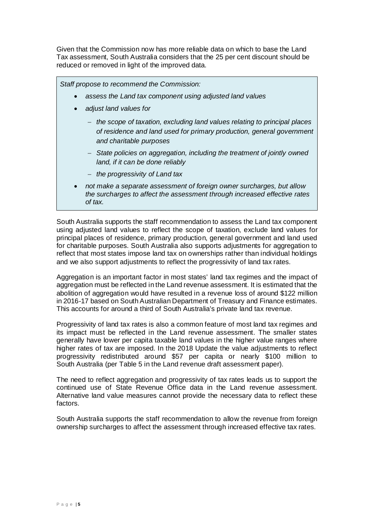Given that the Commission now has more reliable data on which to base the Land Tax assessment, South Australia considers that the 25 per cent discount should be reduced or removed in light of the improved data.

*Staff propose to recommend the Commission:*

- *assess the Land tax component using adjusted land values*
- *adjust land values for*
	- − *the scope of taxation, excluding land values relating to principal places of residence and land used for primary production, general government and charitable purposes*
	- − *State policies on aggregation, including the treatment of jointly owned land, if it can be done reliably*
	- − *the progressivity of Land tax*
- *not make a separate assessment of foreign owner surcharges, but allow the surcharges to affect the assessment through increased effective rates of tax.*

South Australia supports the staff recommendation to assess the Land tax component using adjusted land values to reflect the scope of taxation, exclude land values for principal places of residence, primary production, general government and land used for charitable purposes. South Australia also supports adjustments for aggregation to reflect that most states impose land tax on ownerships rather than individual holdings and we also support adjustments to reflect the progressivity of land tax rates.

Aggregation is an important factor in most states' land tax regimes and the impact of aggregation must be reflected in the Land revenue assessment. It is estimated that the abolition of aggregation would have resulted in a revenue loss of around \$122 million in 2016-17 based on South Australian Department of Treasury and Finance estimates. This accounts for around a third of South Australia's private land tax revenue.

Progressivity of land tax rates is also a common feature of most land tax regimes and its impact must be reflected in the Land revenue assessment. The smaller states generally have lower per capita taxable land values in the higher value ranges where higher rates of tax are imposed. In the 2018 Update the value adjustments to reflect progressivity redistributed around \$57 per capita or nearly \$100 million to South Australia (per Table 5 in the Land revenue draft assessment paper).

The need to reflect aggregation and progressivity of tax rates leads us to support the continued use of State Revenue Office data in the Land revenue assessment. Alternative land value measures cannot provide the necessary data to reflect these factors.

South Australia supports the staff recommendation to allow the revenue from foreign ownership surcharges to affect the assessment through increased effective tax rates.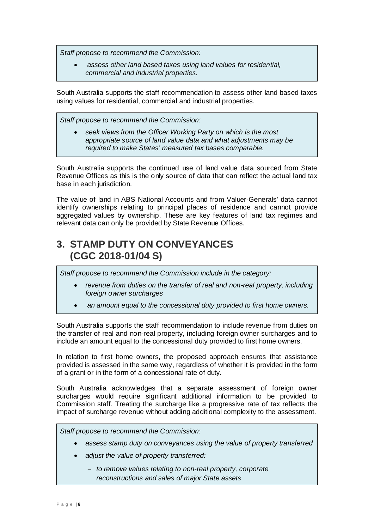*Staff propose to recommend the Commission:*

• *assess other land based taxes using land values for residential, commercial and industrial properties.*

South Australia supports the staff recommendation to assess other land based taxes using values for residential, commercial and industrial properties.

*Staff propose to recommend the Commission:*

• *seek views from the Officer Working Party on which is the most appropriate source of land value data and what adjustments may be required to make States' measured tax bases comparable.*

South Australia supports the continued use of land value data sourced from State Revenue Offices as this is the only source of data that can reflect the actual land tax base in each jurisdiction.

The value of land in ABS National Accounts and from Valuer-Generals' data cannot identify ownerships relating to principal places of residence and cannot provide aggregated values by ownership. These are key features of land tax regimes and relevant data can only be provided by State Revenue Offices.

### <span id="page-6-0"></span>**3. STAMP DUTY ON CONVEYANCES (CGC 2018-01/04 S)**

*Staff propose to recommend the Commission include in the category:*

- *revenue from duties on the transfer of real and non-real property, including foreign owner surcharges*
- *an amount equal to the concessional duty provided to first home owners.*

South Australia supports the staff recommendation to include revenue from duties on the transfer of real and non-real property, including foreign owner surcharges and to include an amount equal to the concessional duty provided to first home owners.

In relation to first home owners, the proposed approach ensures that assistance provided is assessed in the same way, regardless of whether it is provided in the form of a grant or in the form of a concessional rate of duty.

South Australia acknowledges that a separate assessment of foreign owner surcharges would require significant additional information to be provided to Commission staff. Treating the surcharge like a progressive rate of tax reflects the impact of surcharge revenue without adding additional complexity to the assessment.

*Staff propose to recommend the Commission:*

- *assess stamp duty on conveyances using the value of property transferred*
- *adjust the value of property transferred:*
	- − *to remove values relating to non-real property, corporate reconstructions and sales of major State assets*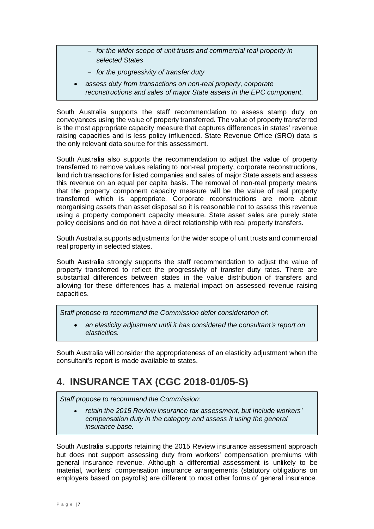- − *for the wider scope of unit trusts and commercial real property in selected States*
- − *for the progressivity of transfer duty*
- *assess duty from transactions on non-real property, corporate reconstructions and sales of major State assets in the EPC component.*

South Australia supports the staff recommendation to assess stamp duty on conveyances using the value of property transferred. The value of property transferred is the most appropriate capacity measure that captures differences in states' revenue raising capacities and is less policy influenced. State Revenue Office (SRO) data is the only relevant data source for this assessment.

South Australia also supports the recommendation to adjust the value of property transferred to remove values relating to non-real property, corporate reconstructions, land rich transactions for listed companies and sales of major State assets and assess this revenue on an equal per capita basis. The removal of non-real property means that the property component capacity measure will be the value of real property transferred which is appropriate. Corporate reconstructions are more about reorganising assets than asset disposal so it is reasonable not to assess this revenue using a property component capacity measure. State asset sales are purely state policy decisions and do not have a direct relationship with real property transfers.

South Australia supports adjustments for the wider scope of unit trusts and commercial real property in selected states.

South Australia strongly supports the staff recommendation to adjust the value of property transferred to reflect the progressivity of transfer duty rates. There are substantial differences between states in the value distribution of transfers and allowing for these differences has a material impact on assessed revenue raising capacities.

*Staff propose to recommend the Commission defer consideration of:*

• *an elasticity adjustment until it has considered the consultant's report on elasticities.*

South Australia will consider the appropriateness of an elasticity adjustment when the consultant's report is made available to states.

### <span id="page-7-0"></span>**4. INSURANCE TAX (CGC 2018-01/05-S)**

*Staff propose to recommend the Commission:*

• *retain the 2015 Review insurance tax assessment, but include workers' compensation duty in the category and assess it using the general insurance base.*

South Australia supports retaining the 2015 Review insurance assessment approach but does not support assessing duty from workers' compensation premiums with general insurance revenue. Although a differential assessment is unlikely to be material, workers' compensation insurance arrangements (statutory obligations on employers based on payrolls) are different to most other forms of general insurance.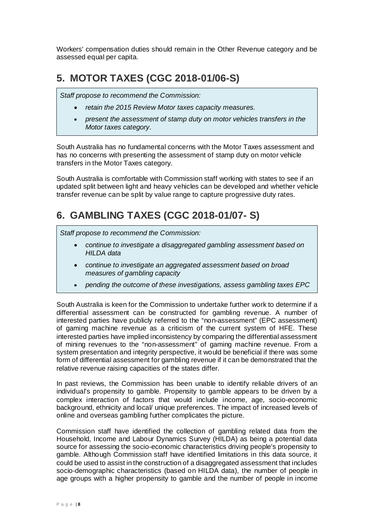Workers' compensation duties should remain in the Other Revenue category and be assessed equal per capita.

# <span id="page-8-0"></span>**5. MOTOR TAXES (CGC 2018-01/06-S)**

*Staff propose to recommend the Commission:*

- *retain the 2015 Review Motor taxes capacity measures.*
- *present the assessment of stamp duty on motor vehicles transfers in the Motor taxes category.*

South Australia has no fundamental concerns with the Motor Taxes assessment and has no concerns with presenting the assessment of stamp duty on motor vehicle transfers in the Motor Taxes category.

South Australia is comfortable with Commission staff working with states to see if an updated split between light and heavy vehicles can be developed and whether vehicle transfer revenue can be split by value range to capture progressive duty rates.

## <span id="page-8-1"></span>**6. GAMBLING TAXES (CGC 2018-01/07- S)**

*Staff propose to recommend the Commission:*

- *continue to investigate a disaggregated gambling assessment based on HILDA data*
- *continue to investigate an aggregated assessment based on broad measures of gambling capacity*
- *pending the outcome of these investigations, assess gambling taxes EPC*

South Australia is keen for the Commission to undertake further work to determine if a differential assessment can be constructed for gambling revenue. A number of interested parties have publicly referred to the "non-assessment" (EPC assessment) of gaming machine revenue as a criticism of the current system of HFE. These interested parties have implied inconsistency by comparing the differential assessment of mining revenues to the "non-assessment" of gaming machine revenue. From a system presentation and integrity perspective, it would be beneficial if there was some form of differential assessment for gambling revenue if it can be demonstrated that the relative revenue raising capacities of the states differ.

In past reviews, the Commission has been unable to identify reliable drivers of an individual's propensity to gamble. Propensity to gamble appears to be driven by a complex interaction of factors that would include income, age, socio-economic background, ethnicity and local/ unique preferences. The impact of increased levels of online and overseas gambling further complicates the picture.

Commission staff have identified the collection of gambling related data from the Household, Income and Labour Dynamics Survey (HILDA) as being a potential data source for assessing the socio-economic characteristics driving people's propensity to gamble. Although Commission staff have identified limitations in this data source, it could be used to assist in the construction of a disaggregated assessment that includes socio-demographic characteristics (based on HILDA data), the number of people in age groups with a higher propensity to gamble and the number of people in income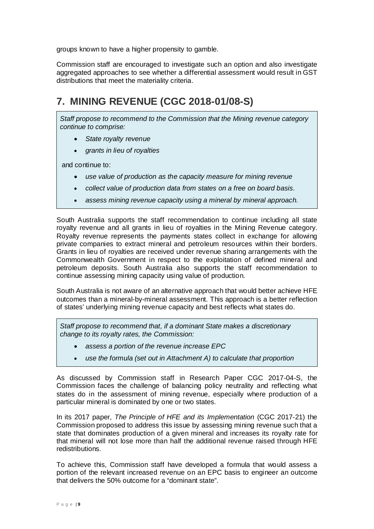groups known to have a higher propensity to gamble.

Commission staff are encouraged to investigate such an option and also investigate aggregated approaches to see whether a differential assessment would result in GST distributions that meet the materiality criteria.

# <span id="page-9-0"></span>**7. MINING REVENUE (CGC 2018-01/08-S)**

*Staff propose to recommend to the Commission that the Mining revenue category continue to comprise:*

- *State royalty revenue*
- *grants in lieu of royalties*

and continue to:

- *use value of production as the capacity measure for mining revenue*
- *collect value of production data from states on a free on board basis*.
- *assess mining revenue capacity using a mineral by mineral approach.*

South Australia supports the staff recommendation to continue including all state royalty revenue and all grants in lieu of royalties in the Mining Revenue category. Royalty revenue represents the payments states collect in exchange for allowing private companies to extract mineral and petroleum resources within their borders. Grants in lieu of royalties are received under revenue sharing arrangements with the Commonwealth Government in respect to the exploitation of defined mineral and petroleum deposits. South Australia also supports the staff recommendation to continue assessing mining capacity using value of production.

South Australia is not aware of an alternative approach that would better achieve HFE outcomes than a mineral-by-mineral assessment. This approach is a better reflection of states' underlying mining revenue capacity and best reflects what states do.

*Staff propose to recommend that, if a dominant State makes a discretionary change to its royalty rates, the Commission:*

- *assess a portion of the revenue increase EPC*
- *use the formula (set out in Attachment A) to calculate that proportion*

As discussed by Commission staff in Research Paper CGC 2017-04-S, the Commission faces the challenge of balancing policy neutrality and reflecting what states do in the assessment of mining revenue, especially where production of a particular mineral is dominated by one or two states.

In its 2017 paper, *The Principle of HFE and its Implementation* (CGC 2017-21) the Commission proposed to address this issue by assessing mining revenue such that a state that dominates production of a given mineral and increases its royalty rate for that mineral will not lose more than half the additional revenue raised through HFE redistributions.

To achieve this, Commission staff have developed a formula that would assess a portion of the relevant increased revenue on an EPC basis to engineer an outcome that delivers the 50% outcome for a "dominant state".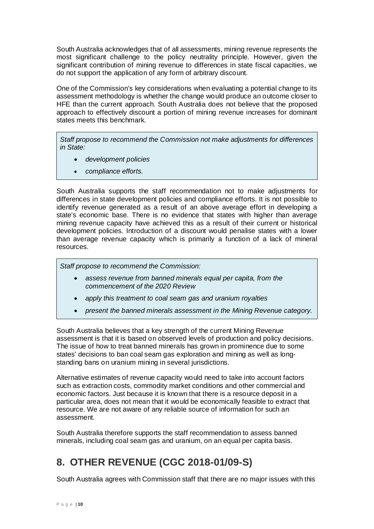South Australia acknowledges that of all assessments, mining revenue represents the most significant challenge to the policy neutrality principle. However, given the significant contribution of mining revenue to differences in state fiscal capacities, we do not support the application of any form of arbitrary discount.

One of the Commission's key considerations when evaluating a potential change to its assessment methodology is whether the change would produce an outcome closer to HFE than the current approach. South Australia does not believe that the proposed approach to effectively discount a portion of mining revenue increases for dominant states meets this benchmark.

*Staff propose to recommend the Commission not make adjustments for differences in State:*

- *development policies*
- *compliance efforts.*

South Australia supports the staff recommendation not to make adjustments for differences in state development policies and compliance efforts. It is not possible to identify revenue generated as a result of an above average effort in developing a state's economic base. There is no evidence that states with higher than average mining revenue capacity have achieved this as a result of their current or historical development policies. Introduction of a discount would penalise states with a lower than average revenue capacity which is primarily a function of a lack of mineral resources.

*Staff propose to recommend the Commission:*

- *assess revenue from banned minerals equal per capita, from the commencement of the 2020 Review*
- *apply this treatment to coal seam gas and uranium royalties*
- *present the banned minerals assessment in the Mining Revenue category.*

South Australia believes that a key strength of the current Mining Revenue assessment is that it is based on observed levels of production and policy decisions. The issue of how to treat banned minerals has grown in prominence due to some states' decisions to ban coal seam gas exploration and mining as well as longstanding bans on uranium mining in several jurisdictions.

Alternative estimates of revenue capacity would need to take into account factors such as extraction costs, commodity market conditions and other commercial and economic factors. Just because it is known that there is a resource deposit in a particular area, does not mean that it would be economically feasible to extract that resource. We are not aware of any reliable source of information for such an assessment.

South Australia therefore supports the staff recommendation to assess banned minerals, including coal seam gas and uranium, on an equal per capita basis.

# <span id="page-10-0"></span>**8. OTHER REVENUE (CGC 2018-01/09-S)**

South Australia agrees with Commission staff that there are no major issues with this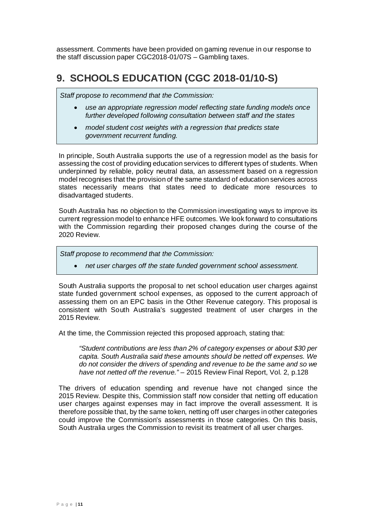assessment. Comments have been provided on gaming revenue in our response to the staff discussion paper CGC2018-01/07S – Gambling taxes.

## <span id="page-11-0"></span>**9. SCHOOLS EDUCATION (CGC 2018-01/10-S)**

*Staff propose to recommend that the Commission:*

- *use an appropriate regression model reflecting state funding models once further developed following consultation between staff and the states*
- *model student cost weights with a regression that predicts state government recurrent funding.*

In principle, South Australia supports the use of a regression model as the basis for assessing the cost of providing education services to different types of students. When underpinned by reliable, policy neutral data, an assessment based on a regression model recognises that the provision of the same standard of education services across states necessarily means that states need to dedicate more resources to disadvantaged students.

South Australia has no objection to the Commission investigating ways to improve its current regression model to enhance HFE outcomes. We look forward to consultations with the Commission regarding their proposed changes during the course of the 2020 Review.

*Staff propose to recommend that the Commission:*

• *net user charges off the state funded government school assessment.*

South Australia supports the proposal to net school education user charges against state funded government school expenses, as opposed to the current approach of assessing them on an EPC basis in the Other Revenue category. This proposal is consistent with South Australia's suggested treatment of user charges in the 2015 Review.

At the time, the Commission rejected this proposed approach, stating that:

*"Student contributions are less than 2% of category expenses or about \$30 per capita. South Australia said these amounts should be netted off expenses. We do not consider the drivers of spending and revenue to be the same and so we have not netted off the revenue." –* 2015 Review Final Report, Vol. 2, p.128

The drivers of education spending and revenue have not changed since the 2015 Review. Despite this, Commission staff now consider that netting off education user charges against expenses may in fact improve the overall assessment. It is therefore possible that, by the same token, netting off user charges in other categories could improve the Commission's assessments in those categories. On this basis, South Australia urges the Commission to revisit its treatment of all user charges.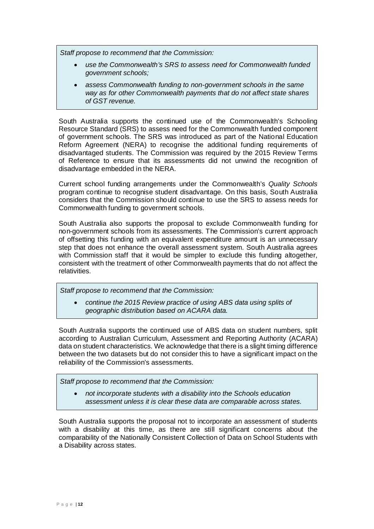*Staff propose to recommend that the Commission:*

- *use the Commonwealth's SRS to assess need for Commonwealth funded government schools;*
- *assess Commonwealth funding to non-government schools in the same way as for other Commonwealth payments that do not affect state shares of GST revenue.*

South Australia supports the continued use of the Commonwealth's Schooling Resource Standard (SRS) to assess need for the Commonwealth funded component of government schools. The SRS was introduced as part of the National Education Reform Agreement (NERA) to recognise the additional funding requirements of disadvantaged students. The Commission was required by the 2015 Review Terms of Reference to ensure that its assessments did not unwind the recognition of disadvantage embedded in the NERA.

Current school funding arrangements under the Commonwealth's *Quality Schools* program continue to recognise student disadvantage. On this basis, South Australia considers that the Commission should continue to use the SRS to assess needs for Commonwealth funding to government schools.

South Australia also supports the proposal to exclude Commonwealth funding for non-government schools from its assessments. The Commission's current approach of offsetting this funding with an equivalent expenditure amount is an unnecessary step that does not enhance the overall assessment system. South Australia agrees with Commission staff that it would be simpler to exclude this funding altogether, consistent with the treatment of other Commonwealth payments that do not affect the relativities.

*Staff propose to recommend that the Commission:*

• *continue the 2015 Review practice of using ABS data using splits of geographic distribution based on ACARA data.*

South Australia supports the continued use of ABS data on student numbers, split according to Australian Curriculum, Assessment and Reporting Authority (ACARA) data on student characteristics. We acknowledge that there is a slight timing difference between the two datasets but do not consider this to have a significant impact on the reliability of the Commission's assessments.

*Staff propose to recommend that the Commission:*

• *not incorporate students with a disability into the Schools education assessment unless it is clear these data are comparable across states.*

South Australia supports the proposal not to incorporate an assessment of students with a disability at this time, as there are still significant concerns about the comparability of the Nationally Consistent Collection of Data on School Students with a Disability across states.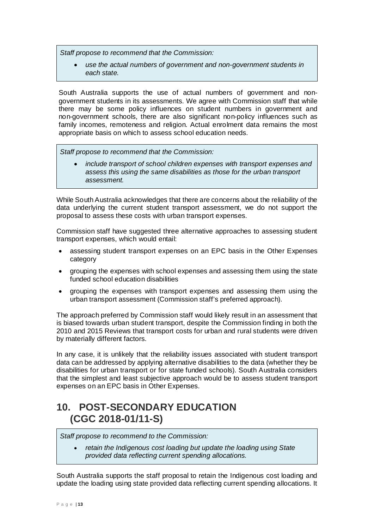*Staff propose to recommend that the Commission:*

• *use the actual numbers of government and non-government students in each state.*

South Australia supports the use of actual numbers of government and nongovernment students in its assessments. We agree with Commission staff that while there may be some policy influences on student numbers in government and non-government schools, there are also significant non-policy influences such as family incomes, remoteness and religion. Actual enrolment data remains the most appropriate basis on which to assess school education needs.

*Staff propose to recommend that the Commission:*

• *include transport of school children expenses with transport expenses and assess this using the same disabilities as those for the urban transport assessment.*

While South Australia acknowledges that there are concerns about the reliability of the data underlying the current student transport assessment, we do not support the proposal to assess these costs with urban transport expenses.

Commission staff have suggested three alternative approaches to assessing student transport expenses, which would entail:

- assessing student transport expenses on an EPC basis in the Other Expenses category
- grouping the expenses with school expenses and assessing them using the state funded school education disabilities
- grouping the expenses with transport expenses and assessing them using the urban transport assessment (Commission staff's preferred approach).

The approach preferred by Commission staff would likely result in an assessment that is biased towards urban student transport, despite the Commission finding in both the 2010 and 2015 Reviews that transport costs for urban and rural students were driven by materially different factors.

In any case, it is unlikely that the reliability issues associated with student transport data can be addressed by applying alternative disabilities to the data (whether they be disabilities for urban transport or for state funded schools). South Australia considers that the simplest and least subjective approach would be to assess student transport expenses on an EPC basis in Other Expenses.

### <span id="page-13-0"></span>**10. POST-SECONDARY EDUCATION (CGC 2018-01/11-S)**

*Staff propose to recommend to the Commission:*

• *retain the Indigenous cost loading but update the loading using State provided data reflecting current spending allocations.*

South Australia supports the staff proposal to retain the Indigenous cost loading and update the loading using state provided data reflecting current spending allocations. It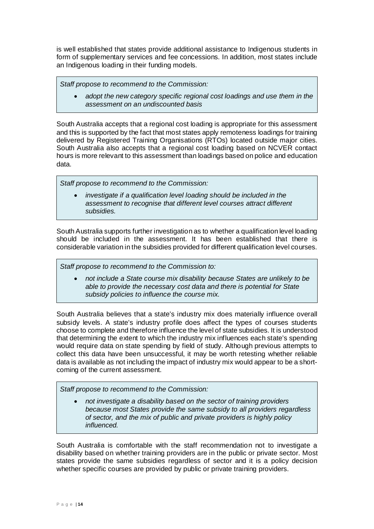is well established that states provide additional assistance to Indigenous students in form of supplementary services and fee concessions. In addition, most states include an Indigenous loading in their funding models.

*Staff propose to recommend to the Commission:*

• *adopt the new category specific regional cost loadings and use them in the assessment on an undiscounted basis*

South Australia accepts that a regional cost loading is appropriate for this assessment and this is supported by the fact that most states apply remoteness loadings for training delivered by Registered Training Organisations (RTOs) located outside major cities. South Australia also accepts that a regional cost loading based on NCVER contact hours is more relevant to this assessment than loadings based on police and education data.

*Staff propose to recommend to the Commission:*

• *investigate if a qualification level loading should be included in the assessment to recognise that different level courses attract different subsidies.*

South Australia supports further investigation as to whether a qualification level loading should be included in the assessment. It has been established that there is considerable variation in the subsidies provided for different qualification level courses.

*Staff propose to recommend to the Commission to:*

• *not include a State course mix disability because States are unlikely to be able to provide the necessary cost data and there is potential for State subsidy policies to influence the course mix.*

South Australia believes that a state's industry mix does materially influence overall subsidy levels. A state's industry profile does affect the types of courses students choose to complete and therefore influence the level of state subsidies. It is understood that determining the extent to which the industry mix influences each state's spending would require data on state spending by field of study. Although previous attempts to collect this data have been unsuccessful, it may be worth retesting whether reliable data is available as not including the impact of industry mix would appear to be a shortcoming of the current assessment.

*Staff propose to recommend to the Commission:*

• *not investigate a disability based on the sector of training providers because most States provide the same subsidy to all providers regardless of sector, and the mix of public and private providers is highly policy influenced.*

South Australia is comfortable with the staff recommendation not to investigate a disability based on whether training providers are in the public or private sector. Most states provide the same subsidies regardless of sector and it is a policy decision whether specific courses are provided by public or private training providers.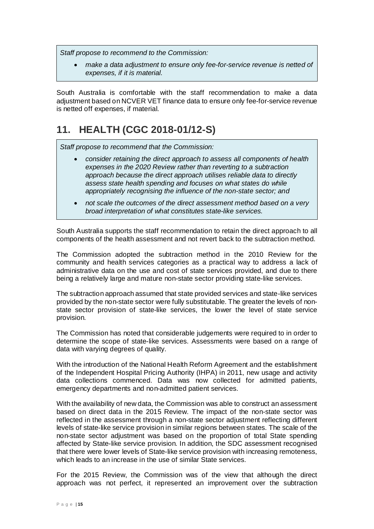*Staff propose to recommend to the Commission:*

• *make a data adjustment to ensure only fee-for-service revenue is netted of expenses, if it is material.*

South Australia is comfortable with the staff recommendation to make a data adjustment based on NCVER VET finance data to ensure only fee-for-service revenue is netted off expenses, if material.

## <span id="page-15-0"></span>**11. HEALTH (CGC 2018-01/12-S)**

*Staff propose to recommend that the Commission:*

- *consider retaining the direct approach to assess all components of health expenses in the 2020 Review rather than reverting to a subtraction approach because the direct approach utilises reliable data to directly assess state health spending and focuses on what states do while appropriately recognising the influence of the non-state sector; and*
- *not scale the outcomes of the direct assessment method based on a very broad interpretation of what constitutes state-like services.*

South Australia supports the staff recommendation to retain the direct approach to all components of the health assessment and not revert back to the subtraction method.

The Commission adopted the subtraction method in the 2010 Review for the community and health services categories as a practical way to address a lack of administrative data on the use and cost of state services provided, and due to there being a relatively large and mature non-state sector providing state-like services.

The subtraction approach assumed that state provided services and state-like services provided by the non-state sector were fully substitutable. The greater the levels of nonstate sector provision of state-like services, the lower the level of state service provision.

The Commission has noted that considerable judgements were required to in order to determine the scope of state-like services. Assessments were based on a range of data with varying degrees of quality.

With the introduction of the National Health Reform Agreement and the establishment of the Independent Hospital Pricing Authority (IHPA) in 2011, new usage and activity data collections commenced. Data was now collected for admitted patients, emergency departments and non-admitted patient services.

With the availability of new data, the Commission was able to construct an assessment based on direct data in the 2015 Review. The impact of the non-state sector was reflected in the assessment through a non-state sector adjustment reflecting different levels of state-like service provision in similar regions between states. The scale of the non-state sector adjustment was based on the proportion of total State spending affected by State-like service provision. In addition, the SDC assessment recognised that there were lower levels of State-like service provision with increasing remoteness, which leads to an increase in the use of similar State services.

For the 2015 Review, the Commission was of the view that although the direct approach was not perfect, it represented an improvement over the subtraction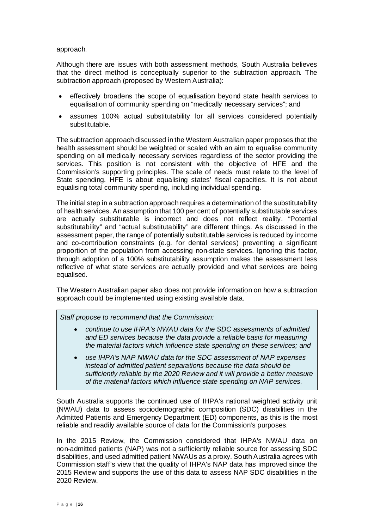#### approach.

Although there are issues with both assessment methods, South Australia believes that the direct method is conceptually superior to the subtraction approach. The subtraction approach (proposed by Western Australia):

- effectively broadens the scope of equalisation beyond state health services to equalisation of community spending on "medically necessary services"; and
- assumes 100% actual substitutability for all services considered potentially substitutable.

The subtraction approach discussed in the Western Australian paper proposes that the health assessment should be weighted or scaled with an aim to equalise community spending on all medically necessary services regardless of the sector providing the services. This position is not consistent with the objective of HFE and the Commission's supporting principles. The scale of needs must relate to the level of State spending. HFE is about equalising states' fiscal capacities. It is not about equalising total community spending, including individual spending.

The initial step in a subtraction approach requires a determination of the substitutability of health services. An assumption that 100 per cent of potentially substitutable services are actually substitutable is incorrect and does not reflect reality. "Potential substitutability" and "actual substitutability" are different things. As discussed in the assessment paper, the range of potentially substitutable services is reduced by income and co-contribution constraints (e.g. for dental services) preventing a significant proportion of the population from accessing non-state services. Ignoring this factor, through adoption of a 100% substitutability assumption makes the assessment less reflective of what state services are actually provided and what services are being equalised.

The Western Australian paper also does not provide information on how a subtraction approach could be implemented using existing available data.

*Staff propose to recommend that the Commission:*

- *continue to use IHPA's NWAU data for the SDC assessments of admitted and ED services because the data provide a reliable basis for measuring the material factors which influence state spending on these services; and*
- *use IHPA's NAP NWAU data for the SDC assessment of NAP expenses instead of admitted patient separations because the data should be sufficiently reliable by the 2020 Review and it will provide a better measure of the material factors which influence state spending on NAP services.*

South Australia supports the continued use of IHPA's national weighted activity unit (NWAU) data to assess sociodemographic composition (SDC) disabilities in the Admitted Patients and Emergency Department (ED) components, as this is the most reliable and readily available source of data for the Commission's purposes.

In the 2015 Review, the Commission considered that IHPA's NWAU data on non-admitted patients (NAP) was not a sufficiently reliable source for assessing SDC disabilities, and used admitted patient NWAUs as a proxy. South Australia agrees with Commission staff's view that the quality of IHPA's NAP data has improved since the 2015 Review and supports the use of this data to assess NAP SDC disabilities in the 2020 Review.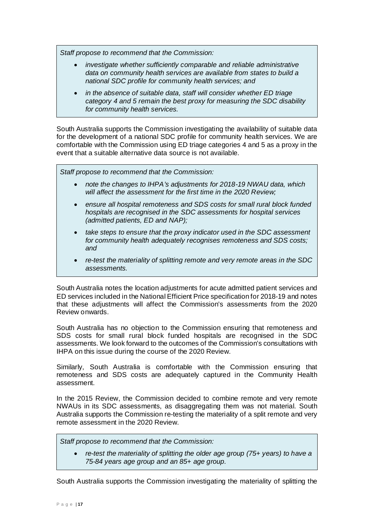*Staff propose to recommend that the Commission:*

- *investigate whether sufficiently comparable and reliable administrative data on community health services are available from states to build a national SDC profile for community health services; and*
- *in the absence of suitable data, staff will consider whether ED triage category 4 and 5 remain the best proxy for measuring the SDC disability for community health services.*

South Australia supports the Commission investigating the availability of suitable data for the development of a national SDC profile for community health services. We are comfortable with the Commission using ED triage categories 4 and 5 as a proxy in the event that a suitable alternative data source is not available.

*Staff propose to recommend that the Commission:*

- *note the changes to IHPA's adjustments for 2018-19 NWAU data, which will affect the assessment for the first time in the 2020 Review;*
- *ensure all hospital remoteness and SDS costs for small rural block funded hospitals are recognised in the SDC assessments for hospital services (admitted patients, ED and NAP);*
- *take steps to ensure that the proxy indicator used in the SDC assessment for community health adequately recognises remoteness and SDS costs; and*
- *re-test the materiality of splitting remote and very remote areas in the SDC assessments.*

South Australia notes the location adjustments for acute admitted patient services and ED services included in the National Efficient Price specification for 2018-19 and notes that these adjustments will affect the Commission's assessments from the 2020 Review onwards.

South Australia has no objection to the Commission ensuring that remoteness and SDS costs for small rural block funded hospitals are recognised in the SDC assessments. We look forward to the outcomes of the Commission's consultations with IHPA on this issue during the course of the 2020 Review.

Similarly, South Australia is comfortable with the Commission ensuring that remoteness and SDS costs are adequately captured in the Community Health assessment.

In the 2015 Review, the Commission decided to combine remote and very remote NWAUs in its SDC assessments, as disaggregating them was not material. South Australia supports the Commission re-testing the materiality of a split remote and very remote assessment in the 2020 Review.

*Staff propose to recommend that the Commission:*

• *re-test the materiality of splitting the older age group (75+ years) to have a 75-84 years age group and an 85+ age group.*

South Australia supports the Commission investigating the materiality of splitting the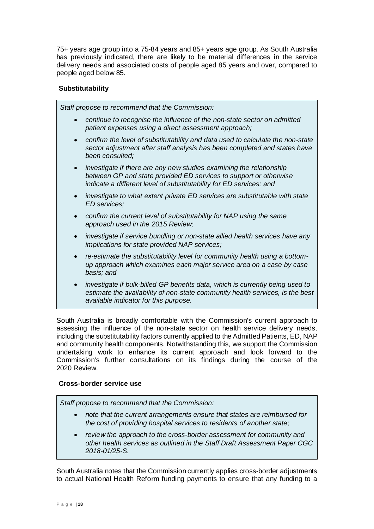75+ years age group into a 75-84 years and 85+ years age group. As South Australia has previously indicated, there are likely to be material differences in the service delivery needs and associated costs of people aged 85 years and over, compared to people aged below 85.

#### **Substitutability**

*Staff propose to recommend that the Commission:* • *continue to recognise the influence of the non-state sector on admitted patient expenses using a direct assessment approach;* • *confirm the level of substitutability and data used to calculate the non-state sector adjustment after staff analysis has been completed and states have been consulted;* • *investigate if there are any new studies examining the relationship between GP and state provided ED services to support or otherwise indicate a different level of substitutability for ED services; and* • *investigate to what extent private ED services are substitutable with state ED services;* • *confirm the current level of substitutability for NAP using the same approach used in the 2015 Review;* • *investigate if service bundling or non-state allied health services have any implications for state provided NAP services;* re-estimate the substitutability level for community health using a bottom*up approach which examines each major service area on a case by case basis; and* • *investigate if bulk-billed GP benefits data, which is currently being used to estimate the availability of non-state community health services, is the best available indicator for this purpose.*

South Australia is broadly comfortable with the Commission's current approach to assessing the influence of the non-state sector on health service delivery needs, including the substitutability factors currently applied to the Admitted Patients, ED, NAP and community health components. Notwithstanding this, we support the Commission undertaking work to enhance its current approach and look forward to the Commission's further consultations on its findings during the course of the 2020 Review.

### **Cross-border service use**

*Staff propose to recommend that the Commission:*

- *note that the current arrangements ensure that states are reimbursed for the cost of providing hospital services to residents of another state;*
- *review the approach to the cross-border assessment for community and other health services as outlined in the Staff Draft Assessment Paper CGC 2018-01/25-S.*

South Australia notes that the Commission currently applies cross-border adjustments to actual National Health Reform funding payments to ensure that any funding to a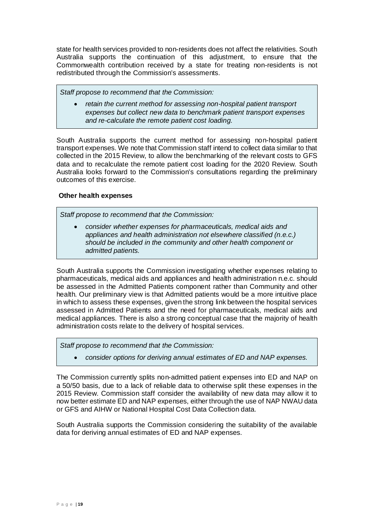state for health services provided to non-residents does not affect the relativities. South Australia supports the continuation of this adjustment, to ensure that the Commonwealth contribution received by a state for treating non-residents is not redistributed through the Commission's assessments.

*Staff propose to recommend that the Commission:*

• *retain the current method for assessing non-hospital patient transport expenses but collect new data to benchmark patient transport expenses and re-calculate the remote patient cost loading.*

South Australia supports the current method for assessing non-hospital patient transport expenses. We note that Commission staff intend to collect data similar to that collected in the 2015 Review, to allow the benchmarking of the relevant costs to GFS data and to recalculate the remote patient cost loading for the 2020 Review. South Australia looks forward to the Commission's consultations regarding the preliminary outcomes of this exercise.

#### **Other health expenses**

*Staff propose to recommend that the Commission:*

• *consider whether expenses for pharmaceuticals, medical aids and appliances and health administration not elsewhere classified (n.e.c.) should be included in the community and other health component or admitted patients.*

South Australia supports the Commission investigating whether expenses relating to pharmaceuticals, medical aids and appliances and health administration n.e.c. should be assessed in the Admitted Patients component rather than Community and other health. Our preliminary view is that Admitted patients would be a more intuitive place in which to assess these expenses, given the strong link between the hospital services assessed in Admitted Patients and the need for pharmaceuticals, medical aids and medical appliances. There is also a strong conceptual case that the majority of health administration costs relate to the delivery of hospital services.

*Staff propose to recommend that the Commission:*

• *consider options for deriving annual estimates of ED and NAP expenses.*

The Commission currently splits non-admitted patient expenses into ED and NAP on a 50/50 basis, due to a lack of reliable data to otherwise split these expenses in the 2015 Review. Commission staff consider the availability of new data may allow it to now better estimate ED and NAP expenses, either through the use of NAP NWAU data or GFS and AIHW or National Hospital Cost Data Collection data.

South Australia supports the Commission considering the suitability of the available data for deriving annual estimates of ED and NAP expenses.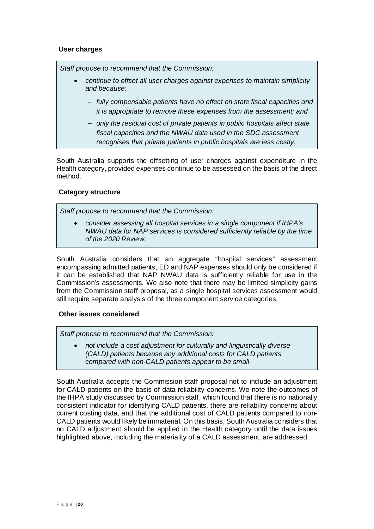#### **User charges**

*Staff propose to recommend that the Commission:*

- *continue to offset all user charges against expenses to maintain simplicity and because:*
	- − *fully compensable patients have no effect on state fiscal capacities and it is appropriate to remove these expenses from the assessment; and*
	- − *only the residual cost of private patients in public hospitals affect state fiscal capacities and the NWAU data used in the SDC assessment recognises that private patients in public hospitals are less costly.*

South Australia supports the offsetting of user charges against expenditure in the Health category, provided expenses continue to be assessed on the basis of the direct method.

#### **Category structure**

*Staff propose to recommend that the Commission:*

• *consider assessing all hospital services in a single component if IHPA's NWAU data for NAP services is considered sufficiently reliable by the time of the 2020 Review.*

South Australia considers that an aggregate "hospital services" assessment encompassing admitted patients, ED and NAP expenses should only be considered if it can be established that NAP NWAU data is sufficiently reliable for use in the Commission's assessments. We also note that there may be limited simplicity gains from the Commission staff proposal, as a single hospital services assessment would still require separate analysis of the three component service categories.

#### **Other issues considered**

*Staff propose to recommend that the Commission:*

• *not include a cost adjustment for culturally and linguistically diverse (CALD) patients because any additional costs for CALD patients compared with non-CALD patients appear to be small.*

South Australia accepts the Commission staff proposal not to include an adjustment for CALD patients on the basis of data reliability concerns. We note the outcomes of the IHPA study discussed by Commission staff, which found that there is no nationally consistent indicator for identifying CALD patients, there are reliability concerns about current costing data, and that the additional cost of CALD patients compared to non-CALD patients would likely be immaterial. On this basis, South Australia considers that no CALD adjustment should be applied in the Health category until the data issues highlighted above, including the materiality of a CALD assessment, are addressed.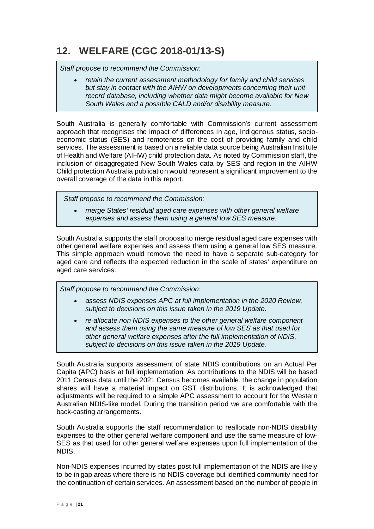# <span id="page-21-0"></span>**12. WELFARE (CGC 2018-01/13-S)**

*Staff propose to recommend the Commission:*

• *retain the current assessment methodology for family and child services*  but stay in contact with the AIHW on developments concerning their unit *record database, including whether data might become available for New South Wales and a possible CALD and/or disability measure.*

South Australia is generally comfortable with Commission's current assessment approach that recognises the impact of differences in age, Indigenous status, socioeconomic status (SES) and remoteness on the cost of providing family and child services. The assessment is based on a reliable data source being Australian Institute of Health and Welfare (AIHW) child protection data. As noted by Commission staff, the inclusion of disaggregated New South Wales data by SES and region in the AIHW Child protection Australia publication would represent a significant improvement to the overall coverage of the data in this report.

 *Staff propose to recommend the Commission:*

• *merge States' residual aged care expenses with other general welfare expenses and assess them using a general low SES measure.*

South Australia supports the staff proposal to merge residual aged care expenses with other general welfare expenses and assess them using a general low SES measure. This simple approach would remove the need to have a separate sub-category for aged care and reflects the expected reduction in the scale of states' expenditure on aged care services.

*Staff propose to recommend the Commission:*

- *assess NDIS expenses APC at full implementation in the 2020 Review, subject to decisions on this issue taken in the 2019 Update.*
- *re-allocate non NDIS expenses to the other general welfare component and assess them using the same measure of low SES as that used for other general welfare expenses after the full implementation of NDIS, subject to decisions on this issue taken in the 2019 Update.*

South Australia supports assessment of state NDIS contributions on an Actual Per Capita (APC) basis at full implementation. As contributions to the NDIS will be based 2011 Census data until the 2021 Census becomes available, the change in population shares will have a material impact on GST distributions. It is acknowledged that adjustments will be required to a simple APC assessment to account for the Western Australian NDIS-like model. During the transition period we are comfortable with the back-casting arrangements.

South Australia supports the staff recommendation to reallocate non-NDIS disability expenses to the other general welfare component and use the same measure of low-SES as that used for other general welfare expenses upon full implementation of the NDIS.

Non-NDIS expenses incurred by states post full implementation of the NDIS are likely to be in gap areas where there is no NDIS coverage but identified community need for the continuation of certain services. An assessment based on the number of people in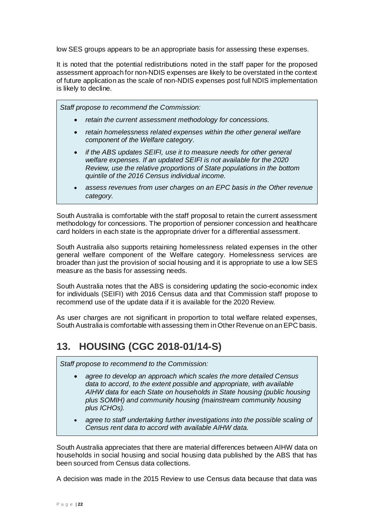low SES groups appears to be an appropriate basis for assessing these expenses.

It is noted that the potential redistributions noted in the staff paper for the proposed assessment approach for non-NDIS expenses are likely to be overstated in the context of future application as the scale of non-NDIS expenses post full NDIS implementation is likely to decline.

*Staff propose to recommend the Commission:*

- *retain the current assessment methodology for concessions.*
- *retain homelessness related expenses within the other general welfare component of the Welfare category.*
- *if the ABS updates SEIFI, use it to measure needs for other general welfare expenses. If an updated SEIFI is not available for the 2020 Review, use the relative proportions of State populations in the bottom quintile of the 2016 Census individual income.*
- *assess revenues from user charges on an EPC basis in the Other revenue category.*

South Australia is comfortable with the staff proposal to retain the current assessment methodology for concessions. The proportion of pensioner concession and healthcare card holders in each state is the appropriate driver for a differential assessment.

South Australia also supports retaining homelessness related expenses in the other general welfare component of the Welfare category. Homelessness services are broader than just the provision of social housing and it is appropriate to use a low SES measure as the basis for assessing needs.

South Australia notes that the ABS is considering updating the socio-economic index for individuals (SEIFI) with 2016 Census data and that Commission staff propose to recommend use of the update data if it is available for the 2020 Review.

As user charges are not significant in proportion to total welfare related expenses, South Australia is comfortable with assessing them in Other Revenue on an EPC basis.

### <span id="page-22-0"></span>**13. HOUSING (CGC 2018-01/14-S)**

*Staff propose to recommend to the Commission:*

- *agree to develop an approach which scales the more detailed Census data to accord, to the extent possible and appropriate, with available AIHW data for each State on households in State housing (public housing plus SOMIH) and community housing (mainstream community housing plus ICHOs).*
- *agree to staff undertaking further investigations into the possible scaling of Census rent data to accord with available AIHW data.*

South Australia appreciates that there are material differences between AIHW data on households in social housing and social housing data published by the ABS that has been sourced from Census data collections.

A decision was made in the 2015 Review to use Census data because that data was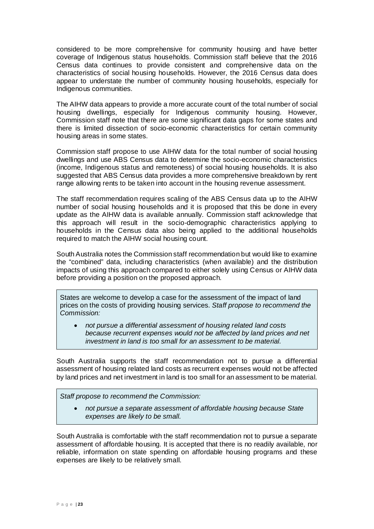considered to be more comprehensive for community housing and have better coverage of Indigenous status households. Commission staff believe that the 2016 Census data continues to provide consistent and comprehensive data on the characteristics of social housing households. However, the 2016 Census data does appear to understate the number of community housing households, especially for Indigenous communities.

The AIHW data appears to provide a more accurate count of the total number of social housing dwellings, especially for Indigenous community housing. However, Commission staff note that there are some significant data gaps for some states and there is limited dissection of socio-economic characteristics for certain community housing areas in some states.

Commission staff propose to use AIHW data for the total number of social housing dwellings and use ABS Census data to determine the socio-economic characteristics (income, Indigenous status and remoteness) of social housing households. It is also suggested that ABS Census data provides a more comprehensive breakdown by rent range allowing rents to be taken into account in the housing revenue assessment.

The staff recommendation requires scaling of the ABS Census data up to the AIHW number of social housing households and it is proposed that this be done in every update as the AIHW data is available annually. Commission staff acknowledge that this approach will result in the socio-demographic characteristics applying to households in the Census data also being applied to the additional households required to match the AIHW social housing count.

South Australia notes the Commission staff recommendation but would like to examine the "combined" data, including characteristics (when available) and the distribution impacts of using this approach compared to either solely using Census or AIHW data before providing a position on the proposed approach.

States are welcome to develop a case for the assessment of the impact of land prices on the costs of providing housing services. *Staff propose to recommend the Commission:*

• *not pursue a differential assessment of housing related land costs because recurrent expenses would not be affected by land prices and net investment in land is too small for an assessment to be material.*

South Australia supports the staff recommendation not to pursue a differential assessment of housing related land costs as recurrent expenses would not be affected by land prices and net investment in land is too small for an assessment to be material.

*Staff propose to recommend the Commission:*

• *not pursue a separate assessment of affordable housing because State expenses are likely to be small.*

South Australia is comfortable with the staff recommendation not to pursue a separate assessment of affordable housing. It is accepted that there is no readily available, nor reliable, information on state spending on affordable housing programs and these expenses are likely to be relatively small.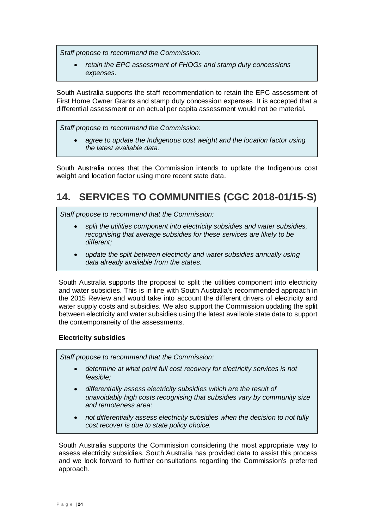*Staff propose to recommend the Commission:*

• *retain the EPC assessment of FHOGs and stamp duty concessions expenses.*

South Australia supports the staff recommendation to retain the EPC assessment of First Home Owner Grants and stamp duty concession expenses. It is accepted that a differential assessment or an actual per capita assessment would not be material.

#### *Staff propose to recommend the Commission:*

• *agree to update the Indigenous cost weight and the location factor using the latest available data.*

South Australia notes that the Commission intends to update the Indigenous cost weight and location factor using more recent state data.

# <span id="page-24-0"></span>**14. SERVICES TO COMMUNITIES (CGC 2018-01/15-S)**

*Staff propose to recommend that the Commission:*

- *split the utilities component into electricity subsidies and water subsidies, recognising that average subsidies for these services are likely to be different;*
- *update the split between electricity and water subsidies annually using data already available from the states.*

South Australia supports the proposal to split the utilities component into electricity and water subsidies. This is in line with South Australia's recommended approach in the 2015 Review and would take into account the different drivers of electricity and water supply costs and subsidies. We also support the Commission updating the split between electricity and water subsidies using the latest available state data to support the contemporaneity of the assessments.

#### **Electricity subsidies**

*Staff propose to recommend that the Commission:*

- *determine at what point full cost recovery for electricity services is not feasible;*
- *differentially assess electricity subsidies which are the result of unavoidably high costs recognising that subsidies vary by community size and remoteness area;*
- *not differentially assess electricity subsidies when the decision to not fully cost recover is due to state policy choice.*

South Australia supports the Commission considering the most appropriate way to assess electricity subsidies. South Australia has provided data to assist this process and we look forward to further consultations regarding the Commission's preferred approach.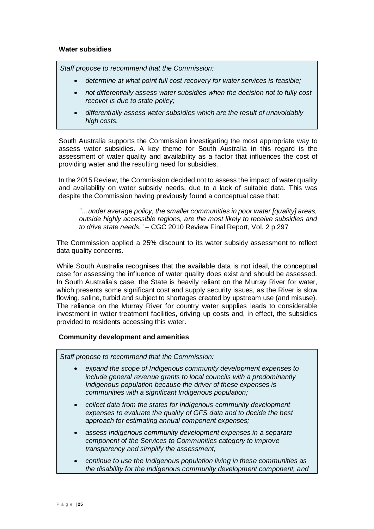#### **Water subsidies**

*Staff propose to recommend that the Commission:*

- *determine at what point full cost recovery for water services is feasible;*
- *not differentially assess water subsidies when the decision not to fully cost recover is due to state policy;*
- *differentially assess water subsidies which are the result of unavoidably high costs.*

South Australia supports the Commission investigating the most appropriate way to assess water subsidies. A key theme for South Australia in this regard is the assessment of water quality and availability as a factor that influences the cost of providing water and the resulting need for subsidies.

In the 2015 Review, the Commission decided not to assess the impact of water quality and availability on water subsidy needs, due to a lack of suitable data. This was despite the Commission having previously found a conceptual case that:

*"…under average policy, the smaller communities in poor water [quality] areas, outside highly accessible regions, are the most likely to receive subsidies and to drive state needs."* – CGC 2010 Review Final Report, Vol. 2 p.297

The Commission applied a 25% discount to its water subsidy assessment to reflect data quality concerns.

While South Australia recognises that the available data is not ideal, the conceptual case for assessing the influence of water quality does exist and should be assessed. In South Australia's case, the State is heavily reliant on the Murray River for water, which presents some significant cost and supply security issues, as the River is slow flowing, saline, turbid and subject to shortages created by upstream use (and misuse). The reliance on the Murray River for country water supplies leads to considerable investment in water treatment facilities, driving up costs and, in effect, the subsidies provided to residents accessing this water.

#### **Community development and amenities**

*Staff propose to recommend that the Commission:*

- *expand the scope of Indigenous community development expenses to include general revenue grants to local councils with a predominantly Indigenous population because the driver of these expenses is communities with a significant Indigenous population;*
- *collect data from the states for Indigenous community development expenses to evaluate the quality of GFS data and to decide the best approach for estimating annual component expenses;*
- *assess Indigenous community development expenses in a separate component of the Services to Communities category to improve transparency and simplify the assessment;*
- *continue to use the Indigenous population living in these communities as the disability for the Indigenous community development component, and*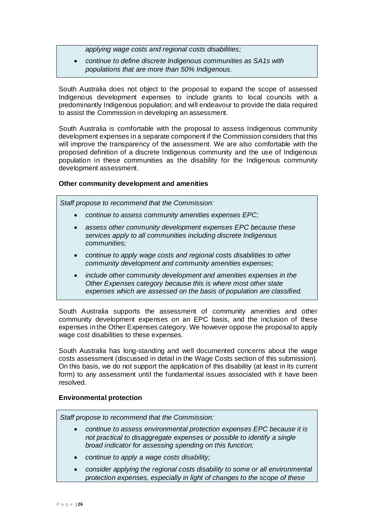*applying wage costs and regional costs disabilities;*

• *continue to define discrete Indigenous communities as SA1s with populations that are more than 50% Indigenous.*

South Australia does not object to the proposal to expand the scope of assessed Indigenous development expenses to include grants to local councils with a predominantly Indigenous population; and will endeavour to provide the data required to assist the Commission in developing an assessment.

South Australia is comfortable with the proposal to assess Indigenous community development expenses in a separate component if the Commission considers that this will improve the transparency of the assessment. We are also comfortable with the proposed definition of a discrete Indigenous community and the use of Indigenous population in these communities as the disability for the Indigenous community development assessment.

#### **Other community development and amenities**

*Staff propose to recommend that the Commission:*

- *continue to assess community amenities expenses EPC;*
- *assess other community development expenses EPC because these services apply to all communities including discrete Indigenous communities;*
- *continue to apply wage costs and regional costs disabilities to other community development and community amenities expenses;*
- *include other community development and amenities expenses in the Other Expenses category because this is where most other state expenses which are assessed on the basis of population are classified.*

South Australia supports the assessment of community amenities and other community development expenses on an EPC basis, and the inclusion of these expenses in the Other Expenses category. We however oppose the proposal to apply wage cost disabilities to these expenses.

South Australia has long-standing and well documented concerns about the wage costs assessment (discussed in detail in the Wage Costs section of this submission). On this basis, we do not support the application of this disability (at least in its current form) to any assessment until the fundamental issues associated with it have been resolved.

#### **Environmental protection**

*Staff propose to recommend that the Commission:*

- *continue to assess environmental protection expenses EPC because it is not practical to disaggregate expenses or possible to identify a single broad indicator for assessing spending on this function;*
- *continue to apply a wage costs disability;*
- *consider applying the regional costs disability to some or all environmental protection expenses, especially in light of changes to the scope of these*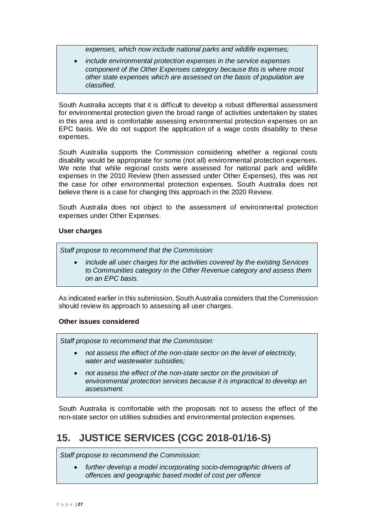*expenses, which now include national parks and wildlife expenses;*

• *include environmental protection expenses in the service expenses component of the Other Expenses category because this is where most other state expenses which are assessed on the basis of population are classified.*

South Australia accepts that it is difficult to develop a robust differential assessment for environmental protection given the broad range of activities undertaken by states in this area and is comfortable assessing environmental protection expenses on an EPC basis. We do not support the application of a wage costs disability to these expenses.

South Australia supports the Commission considering whether a regional costs disability would be appropriate for some (not all) environmental protection expenses. We note that while regional costs were assessed for national park and wildlife expenses in the 2010 Review (then assessed under Other Expenses), this was not the case for other environmental protection expenses. South Australia does not believe there is a case for changing this approach in the 2020 Review.

South Australia does not object to the assessment of environmental protection expenses under Other Expenses.

#### **User charges**

*Staff propose to recommend that the Commission:*

• *include all user charges for the activities covered by the existing Services to Communities category in the Other Revenue category and assess them on an EPC basis.*

As indicated earlier in this submission, South Australia considers that the Commission should review its approach to assessing all user charges.

#### **Other issues considered**

*Staff propose to recommend that the Commission:*

- *not assess the effect of the non-state sector on the level of electricity, water and wastewater subsidies;*
- *not assess the effect of the non-state sector on the provision of environmental protection services because it is impractical to develop an assessment.*

South Australia is comfortable with the proposals not to assess the effect of the non-state sector on utilities subsidies and environmental protection expenses.

# <span id="page-27-0"></span>**15. JUSTICE SERVICES (CGC 2018-01/16-S)**

*Staff propose to recommend the Commission:*

• *further develop a model incorporating socio-demographic drivers of offences and geographic based model of cost per offence*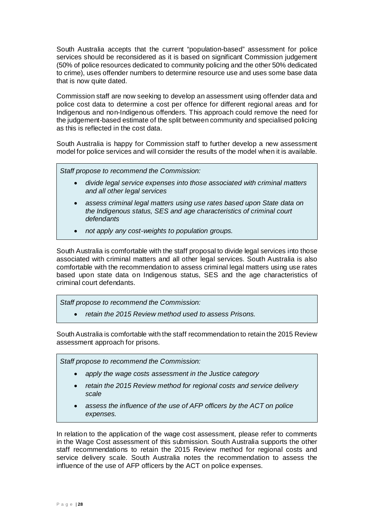South Australia accepts that the current "population-based" assessment for police services should be reconsidered as it is based on significant Commission judgement (50% of police resources dedicated to community policing and the other 50% dedicated to crime), uses offender numbers to determine resource use and uses some base data that is now quite dated.

Commission staff are now seeking to develop an assessment using offender data and police cost data to determine a cost per offence for different regional areas and for Indigenous and non-Indigenous offenders. This approach could remove the need for the judgement-based estimate of the split between community and specialised policing as this is reflected in the cost data.

South Australia is happy for Commission staff to further develop a new assessment model for police services and will consider the results of the model when it is available.

*Staff propose to recommend the Commission:*

- *divide legal service expenses into those associated with criminal matters and all other legal services*
- *assess criminal legal matters using use rates based upon State data on the Indigenous status, SES and age characteristics of criminal court defendants*
- *not apply any cost-weights to population groups.*

South Australia is comfortable with the staff proposal to divide legal services into those associated with criminal matters and all other legal services. South Australia is also comfortable with the recommendation to assess criminal legal matters using use rates based upon state data on Indigenous status, SES and the age characteristics of criminal court defendants.

*Staff propose to recommend the Commission:*

• *retain the 2015 Review method used to assess Prisons.*

South Australia is comfortable with the staff recommendation to retain the 2015 Review assessment approach for prisons.

*Staff propose to recommend the Commission:*

- *apply the wage costs assessment in the Justice category*
- *retain the 2015 Review method for regional costs and service delivery scale*
- *assess the influence of the use of AFP officers by the ACT on police expenses.*

In relation to the application of the wage cost assessment, please refer to comments in the Wage Cost assessment of this submission. South Australia supports the other staff recommendations to retain the 2015 Review method for regional costs and service delivery scale. South Australia notes the recommendation to assess the influence of the use of AFP officers by the ACT on police expenses.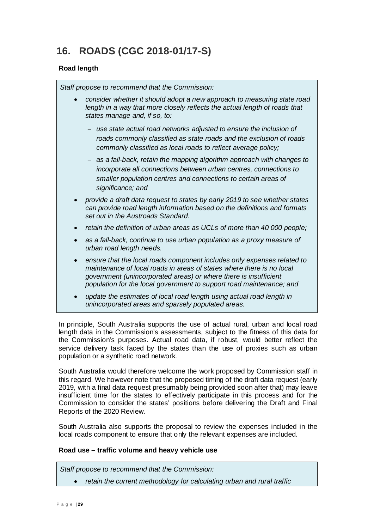# <span id="page-29-0"></span>**16. ROADS (CGC 2018-01/17-S)**

#### **Road length**

*Staff propose to recommend that the Commission:*

- *consider whether it should adopt a new approach to measuring state road length in a way that more closely reflects the actual length of roads that states manage and, if so, to:*
	- − *use state actual road networks adjusted to ensure the inclusion of roads commonly classified as state roads and the exclusion of roads commonly classified as local roads to reflect average policy;*
	- − *as a fall-back, retain the mapping algorithm approach with changes to incorporate all connections between urban centres, connections to smaller population centres and connections to certain areas of significance; and*
- *provide a draft data request to states by early 2019 to see whether states can provide road length information based on the definitions and formats set out in the Austroads Standard.*
- *retain the definition of urban areas as UCLs of more than 40 000 people;*
- *as a fall-back, continue to use urban population as a proxy measure of urban road length needs.*
- *ensure that the local roads component includes only expenses related to maintenance of local roads in areas of states where there is no local government (unincorporated areas) or where there is insufficient population for the local government to support road maintenance; and*
- *update the estimates of local road length using actual road length in unincorporated areas and sparsely populated areas.*

In principle, South Australia supports the use of actual rural, urban and local road length data in the Commission's assessments, subject to the fitness of this data for the Commission's purposes. Actual road data, if robust, would better reflect the service delivery task faced by the states than the use of proxies such as urban population or a synthetic road network.

South Australia would therefore welcome the work proposed by Commission staff in this regard. We however note that the proposed timing of the draft data request (early 2019, with a final data request presumably being provided soon after that) may leave insufficient time for the states to effectively participate in this process and for the Commission to consider the states' positions before delivering the Draft and Final Reports of the 2020 Review.

South Australia also supports the proposal to review the expenses included in the local roads component to ensure that only the relevant expenses are included.

#### **Road use – traffic volume and heavy vehicle use**

*Staff propose to recommend that the Commission:*

• *retain the current methodology for calculating urban and rural traffic*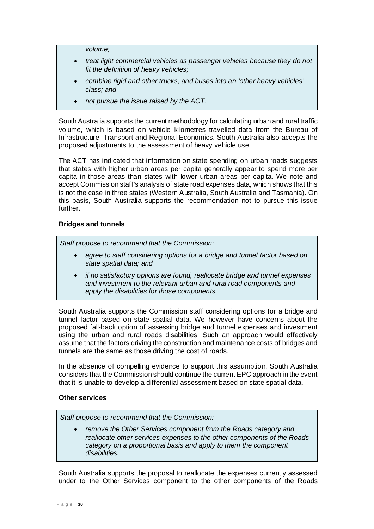*volume;*

- *treat light commercial vehicles as passenger vehicles because they do not fit the definition of heavy vehicles;*
- *combine rigid and other trucks, and buses into an 'other heavy vehicles' class; and*
- *not pursue the issue raised by the ACT.*

South Australia supports the current methodology for calculating urban and rural traffic volume, which is based on vehicle kilometres travelled data from the Bureau of Infrastructure, Transport and Regional Economics. South Australia also accepts the proposed adjustments to the assessment of heavy vehicle use.

The ACT has indicated that information on state spending on urban roads suggests that states with higher urban areas per capita generally appear to spend more per capita in those areas than states with lower urban areas per capita. We note and accept Commission staff's analysis of state road expenses data, which shows that this is not the case in three states (Western Australia, South Australia and Tasmania). On this basis, South Australia supports the recommendation not to pursue this issue further.

#### **Bridges and tunnels**

*Staff propose to recommend that the Commission:*

- *agree to staff considering options for a bridge and tunnel factor based on state spatial data; and*
- *if no satisfactory options are found, reallocate bridge and tunnel expenses and investment to the relevant urban and rural road components and apply the disabilities for those components.*

South Australia supports the Commission staff considering options for a bridge and tunnel factor based on state spatial data. We however have concerns about the proposed fall-back option of assessing bridge and tunnel expenses and investment using the urban and rural roads disabilities. Such an approach would effectively assume that the factors driving the construction and maintenance costs of bridges and tunnels are the same as those driving the cost of roads.

In the absence of compelling evidence to support this assumption, South Australia considers that the Commission should continue the current EPC approach in the event that it is unable to develop a differential assessment based on state spatial data.

#### **Other services**

*Staff propose to recommend that the Commission:*

• *remove the Other Services component from the Roads category and reallocate other services expenses to the other components of the Roads category on a proportional basis and apply to them the component disabilities.*

South Australia supports the proposal to reallocate the expenses currently assessed under to the Other Services component to the other components of the Roads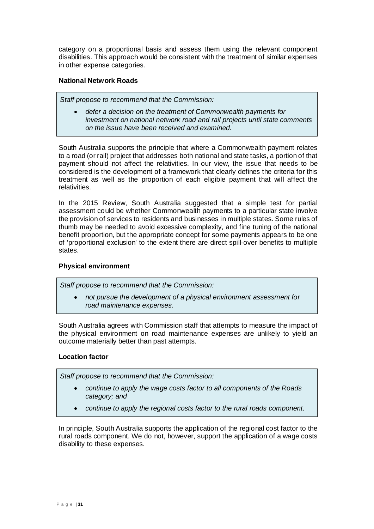category on a proportional basis and assess them using the relevant component disabilities. This approach would be consistent with the treatment of similar expenses in other expense categories.

#### **National Network Roads**

*Staff propose to recommend that the Commission:*

• *defer a decision on the treatment of Commonwealth payments for investment on national network road and rail projects until state comments on the issue have been received and examined.*

South Australia supports the principle that where a Commonwealth payment relates to a road (or rail) project that addresses both national and state tasks, a portion of that payment should not affect the relativities. In our view, the issue that needs to be considered is the development of a framework that clearly defines the criteria for this treatment as well as the proportion of each eligible payment that will affect the relativities.

In the 2015 Review, South Australia suggested that a simple test for partial assessment could be whether Commonwealth payments to a particular state involve the provision of services to residents and businesses in multiple states. Some rules of thumb may be needed to avoid excessive complexity, and fine tuning of the national benefit proportion, but the appropriate concept for some payments appears to be one of 'proportional exclusion' to the extent there are direct spill-over benefits to multiple states.

#### **Physical environment**

*Staff propose to recommend that the Commission:*

• *not pursue the development of a physical environment assessment for road maintenance expenses.*

South Australia agrees with Commission staff that attempts to measure the impact of the physical environment on road maintenance expenses are unlikely to yield an outcome materially better than past attempts.

#### **Location factor**

*Staff propose to recommend that the Commission:*

- *continue to apply the wage costs factor to all components of the Roads category; and*
- *continue to apply the regional costs factor to the rural roads component.*

In principle, South Australia supports the application of the regional cost factor to the rural roads component. We do not, however, support the application of a wage costs disability to these expenses.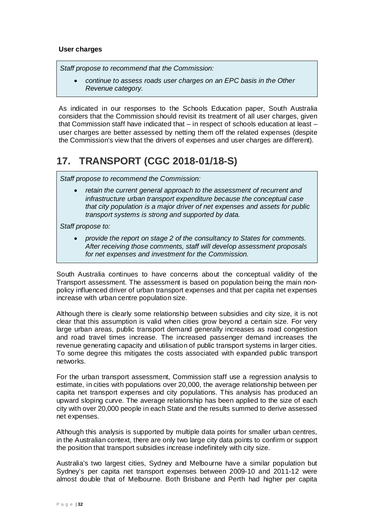#### **User charges**

*Staff propose to recommend that the Commission:*

• *continue to assess roads user charges on an EPC basis in the Other Revenue category.*

As indicated in our responses to the Schools Education paper, South Australia considers that the Commission should revisit its treatment of all user charges, given that Commission staff have indicated that – in respect of schools education at least – user charges are better assessed by netting them off the related expenses (despite the Commission's view that the drivers of expenses and user charges are different).

### <span id="page-32-0"></span>**17. TRANSPORT (CGC 2018-01/18-S)**

*Staff propose to recommend the Commission:*

• *retain the current general approach to the assessment of recurrent and infrastructure urban transport expenditure because the conceptual case that city population is a major driver of net expenses and assets for public transport systems is strong and supported by data.*

*Staff propose to:*

• *provide the report on stage 2 of the consultancy to States for comments. After receiving those comments, staff will develop assessment proposals for net expenses and investment for the Commission.*

South Australia continues to have concerns about the conceptual validity of the Transport assessment. The assessment is based on population being the main nonpolicy influenced driver of urban transport expenses and that per capita net expenses increase with urban centre population size.

Although there is clearly some relationship between subsidies and city size, it is not clear that this assumption is valid when cities grow beyond a certain size. For very large urban areas, public transport demand generally increases as road congestion and road travel times increase. The increased passenger demand increases the revenue generating capacity and utilisation of public transport systems in larger cities. To some degree this mitigates the costs associated with expanded public transport networks.

For the urban transport assessment, Commission staff use a regression analysis to estimate, in cities with populations over 20,000, the average relationship between per capita net transport expenses and city populations. This analysis has produced an upward sloping curve. The average relationship has been applied to the size of each city with over 20,000 people in each State and the results summed to derive assessed net expenses.

Although this analysis is supported by multiple data points for smaller urban centres, in the Australian context, there are only two large city data points to confirm or support the position that transport subsidies increase indefinitely with city size.

Australia's two largest cities, Sydney and Melbourne have a similar population but Sydney's per capita net transport expenses between 2009-10 and 2011-12 were almost double that of Melbourne. Both Brisbane and Perth had higher per capita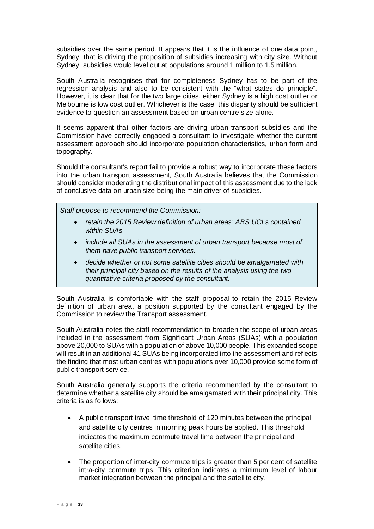subsidies over the same period. It appears that it is the influence of one data point, Sydney, that is driving the proposition of subsidies increasing with city size. Without Sydney, subsidies would level out at populations around 1 million to 1.5 million.

South Australia recognises that for completeness Sydney has to be part of the regression analysis and also to be consistent with the "what states do principle". However, it is clear that for the two large cities, either Sydney is a high cost outlier or Melbourne is low cost outlier. Whichever is the case, this disparity should be sufficient evidence to question an assessment based on urban centre size alone.

It seems apparent that other factors are driving urban transport subsidies and the Commission have correctly engaged a consultant to investigate whether the current assessment approach should incorporate population characteristics, urban form and topography.

Should the consultant's report fail to provide a robust way to incorporate these factors into the urban transport assessment, South Australia believes that the Commission should consider moderating the distributional impact of this assessment due to the lack of conclusive data on urban size being the main driver of subsidies.

*Staff propose to recommend the Commission:*

- *retain the 2015 Review definition of urban areas: ABS UCLs contained within SUAs*
- *include all SUAs in the assessment of urban transport because most of them have public transport services.*
- *decide whether or not some satellite cities should be amalgamated with their principal city based on the results of the analysis using the two quantitative criteria proposed by the consultant.*

South Australia is comfortable with the staff proposal to retain the 2015 Review definition of urban area, a position supported by the consultant engaged by the Commission to review the Transport assessment.

South Australia notes the staff recommendation to broaden the scope of urban areas included in the assessment from Significant Urban Areas (SUAs) with a population above 20,000 to SUAs with a population of above 10,000 people. This expanded scope will result in an additional 41 SUAs being incorporated into the assessment and reflects the finding that most urban centres with populations over 10,000 provide some form of public transport service.

South Australia generally supports the criteria recommended by the consultant to determine whether a satellite city should be amalgamated with their principal city. This criteria is as follows:

- A public transport travel time threshold of 120 minutes between the principal and satellite city centres in morning peak hours be applied. This threshold indicates the maximum commute travel time between the principal and satellite cities.
- The proportion of inter-city commute trips is greater than 5 per cent of satellite intra-city commute trips. This criterion indicates a minimum level of labour market integration between the principal and the satellite city.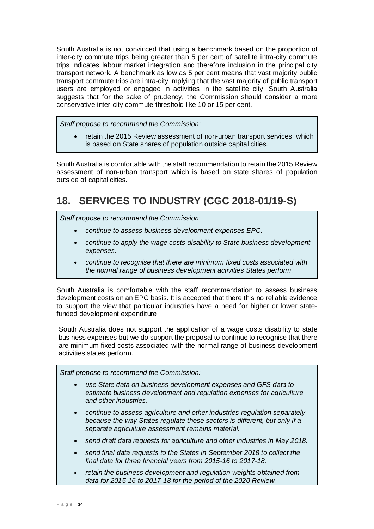South Australia is not convinced that using a benchmark based on the proportion of inter-city commute trips being greater than 5 per cent of satellite intra-city commute trips indicates labour market integration and therefore inclusion in the principal city transport network. A benchmark as low as 5 per cent means that vast majority public transport commute trips are intra-city implying that the vast majority of public transport users are employed or engaged in activities in the satellite city. South Australia suggests that for the sake of prudency, the Commission should consider a more conservative inter-city commute threshold like 10 or 15 per cent.

*Staff propose to recommend the Commission:*

• retain the 2015 Review assessment of non-urban transport services, which is based on State shares of population outside capital cities*.*

South Australia is comfortable with the staff recommendation to retain the 2015 Review assessment of non-urban transport which is based on state shares of population outside of capital cities.

# <span id="page-34-0"></span>**18. SERVICES TO INDUSTRY (CGC 2018-01/19-S)**

*Staff propose to recommend the Commission:*

- *continue to assess business development expenses EPC.*
- *continue to apply the wage costs disability to State business development expenses.*
- *continue to recognise that there are minimum fixed costs associated with the normal range of business development activities States perform.*

South Australia is comfortable with the staff recommendation to assess business development costs on an EPC basis. It is accepted that there this no reliable evidence to support the view that particular industries have a need for higher or lower statefunded development expenditure.

South Australia does not support the application of a wage costs disability to state business expenses but we do support the proposal to continue to recognise that there are minimum fixed costs associated with the normal range of business development activities states perform.

*Staff propose to recommend the Commission:*

- *use State data on business development expenses and GFS data to estimate business development and regulation expenses for agriculture and other industries.*
- *continue to assess agriculture and other industries regulation separately because the way States regulate these sectors is different, but only if a separate agriculture assessment remains material.*
- *send draft data requests for agriculture and other industries in May 2018.*
- *send final data requests to the States in September 2018 to collect the final data for three financial years from 2015-16 to 2017-18.*
- *retain the business development and regulation weights obtained from data for 2015-16 to 2017-18 for the period of the 2020 Review.*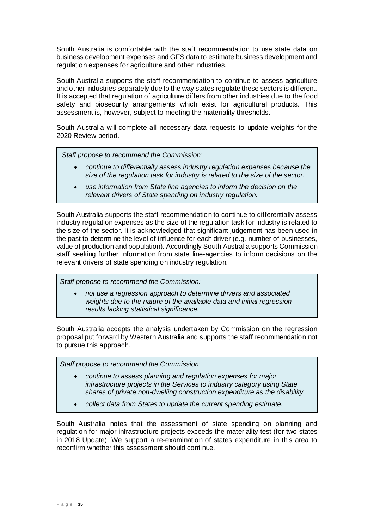South Australia is comfortable with the staff recommendation to use state data on business development expenses and GFS data to estimate business development and regulation expenses for agriculture and other industries.

South Australia supports the staff recommendation to continue to assess agriculture and other industries separately due to the way states regulate these sectors is different. It is accepted that regulation of agriculture differs from other industries due to the food safety and biosecurity arrangements which exist for agricultural products. This assessment is, however, subject to meeting the materiality thresholds.

South Australia will complete all necessary data requests to update weights for the 2020 Review period.

*Staff propose to recommend the Commission:*

- *continue to differentially assess industry regulation expenses because the size of the regulation task for industry is related to the size of the sector.*
- *use information from State line agencies to inform the decision on the relevant drivers of State spending on industry regulation.*

South Australia supports the staff recommendation to continue to differentially assess industry regulation expenses as the size of the regulation task for industry is related to the size of the sector. It is acknowledged that significant judgement has been used in the past to determine the level of influence for each driver (e.g. number of businesses, value of production and population). Accordingly South Australia supports Commission staff seeking further information from state line-agencies to inform decisions on the relevant drivers of state spending on industry regulation.

*Staff propose to recommend the Commission:*

• *not use a regression approach to determine drivers and associated weights due to the nature of the available data and initial regression results lacking statistical significance.*

South Australia accepts the analysis undertaken by Commission on the regression proposal put forward by Western Australia and supports the staff recommendation not to pursue this approach.

*Staff propose to recommend the Commission:*

- *continue to assess planning and regulation expenses for major infrastructure projects in the Services to industry category using State shares of private non-dwelling construction expenditure as the disability*
- *collect data from States to update the current spending estimate.*

South Australia notes that the assessment of state spending on planning and regulation for major infrastructure projects exceeds the materiality test (for two states in 2018 Update). We support a re-examination of states expenditure in this area to reconfirm whether this assessment should continue.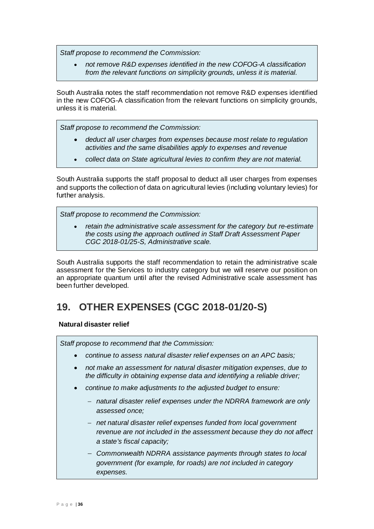*Staff propose to recommend the Commission:*

• *not remove R&D expenses identified in the new COFOG-A classification from the relevant functions on simplicity grounds, unless it is material.*

South Australia notes the staff recommendation not remove R&D expenses identified in the new COFOG-A classification from the relevant functions on simplicity grounds, unless it is material.

*Staff propose to recommend the Commission:*

- *deduct all user charges from expenses because most relate to regulation activities and the same disabilities apply to expenses and revenue*
- *collect data on State agricultural levies to confirm they are not material.*

South Australia supports the staff proposal to deduct all user charges from expenses and supports the collection of data on agricultural levies (including voluntary levies) for further analysis.

*Staff propose to recommend the Commission:*

• *retain the administrative scale assessment for the category but re-estimate the costs using the approach outlined in Staff Draft Assessment Paper CGC 2018-01/25-S, Administrative scale.*

South Australia supports the staff recommendation to retain the administrative scale assessment for the Services to industry category but we will reserve our position on an appropriate quantum until after the revised Administrative scale assessment has been further developed.

### <span id="page-36-0"></span>**19. OTHER EXPENSES (CGC 2018-01/20-S)**

#### **Natural disaster relief**

*Staff propose to recommend that the Commission:*

- *continue to assess natural disaster relief expenses on an APC basis;*
- *not make an assessment for natural disaster mitigation expenses, due to the difficulty in obtaining expense data and identifying a reliable driver;*
- *continue to make adjustments to the adjusted budget to ensure:*
	- − *natural disaster relief expenses under the NDRRA framework are only assessed once;*
	- − *net natural disaster relief expenses funded from local government revenue are not included in the assessment because they do not affect a state's fiscal capacity;*
	- − *Commonwealth NDRRA assistance payments through states to local government (for example, for roads) are not included in category expenses.*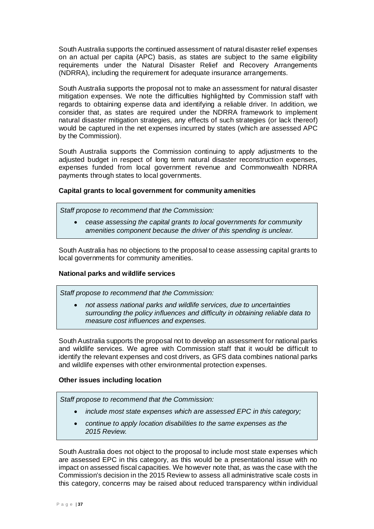South Australia supports the continued assessment of natural disaster relief expenses on an actual per capita (APC) basis, as states are subject to the same eligibility requirements under the Natural Disaster Relief and Recovery Arrangements (NDRRA), including the requirement for adequate insurance arrangements.

South Australia supports the proposal not to make an assessment for natural disaster mitigation expenses. We note the difficulties highlighted by Commission staff with regards to obtaining expense data and identifying a reliable driver. In addition, we consider that, as states are required under the NDRRA framework to implement natural disaster mitigation strategies, any effects of such strategies (or lack thereof) would be captured in the net expenses incurred by states (which are assessed APC by the Commission).

South Australia supports the Commission continuing to apply adjustments to the adjusted budget in respect of long term natural disaster reconstruction expenses, expenses funded from local government revenue and Commonwealth NDRRA payments through states to local governments.

#### **Capital grants to local government for community amenities**

*Staff propose to recommend that the Commission:*

• *cease assessing the capital grants to local governments for community amenities component because the driver of this spending is unclear.*

South Australia has no objections to the proposal to cease assessing capital grants to local governments for community amenities.

#### **National parks and wildlife services**

*Staff propose to recommend that the Commission:*

• *not assess national parks and wildlife services, due to uncertainties surrounding the policy influences and difficulty in obtaining reliable data to measure cost influences and expenses.*

South Australia supports the proposal not to develop an assessment for national parks and wildlife services. We agree with Commission staff that it would be difficult to identify the relevant expenses and cost drivers, as GFS data combines national parks and wildlife expenses with other environmental protection expenses.

#### **Other issues including location**

*Staff propose to recommend that the Commission:*

- *include most state expenses which are assessed EPC in this category;*
- *continue to apply location disabilities to the same expenses as the 2015 Review.*

South Australia does not object to the proposal to include most state expenses which are assessed EPC in this category, as this would be a presentational issue with no impact on assessed fiscal capacities. We however note that, as was the case with the Commission's decision in the 2015 Review to assess all administrative scale costs in this category, concerns may be raised about reduced transparency within individual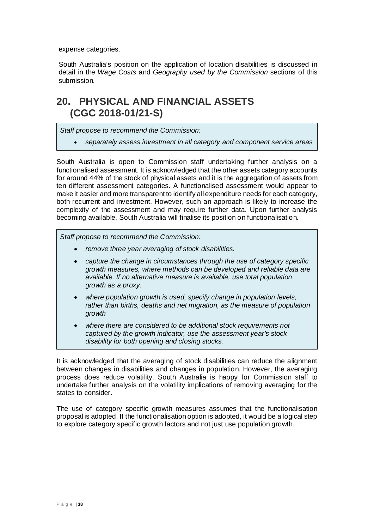expense categories.

South Australia's position on the application of location disabilities is discussed in detail in the *Wage Costs* and *Geography used by the Commission* sections of this submission.

### <span id="page-38-0"></span>**20. PHYSICAL AND FINANCIAL ASSETS (CGC 2018-01/21-S)**

*Staff propose to recommend the Commission:*

• *separately assess investment in all category and component service areas*

South Australia is open to Commission staff undertaking further analysis on a functionalised assessment. It is acknowledged that the other assets category accounts for around 44% of the stock of physical assets and it is the aggregation of assets from ten different assessment categories. A functionalised assessment would appear to make it easier and more transparent to identify all expenditure needs for each category, both recurrent and investment. However, such an approach is likely to increase the complexity of the assessment and may require further data. Upon further analysis becoming available, South Australia will finalise its position on functionalisation.

*Staff propose to recommend the Commission:*

- *remove three year averaging of stock disabilities.*
- *capture the change in circumstances through the use of category specific growth measures, where methods can be developed and reliable data are available. If no alternative measure is available, use total population growth as a proxy.*
- *where population growth is used, specify change in population levels, rather than births, deaths and net migration, as the measure of population growth*
- *where there are considered to be additional stock requirements not captured by the growth indicator, use the assessment year's stock disability for both opening and closing stocks.*

It is acknowledged that the averaging of stock disabilities can reduce the alignment between changes in disabilities and changes in population. However, the averaging process does reduce volatility. South Australia is happy for Commission staff to undertake further analysis on the volatility implications of removing averaging for the states to consider.

The use of category specific growth measures assumes that the functionalisation proposal is adopted. If the functionalisation option is adopted, it would be a logical step to explore category specific growth factors and not just use population growth.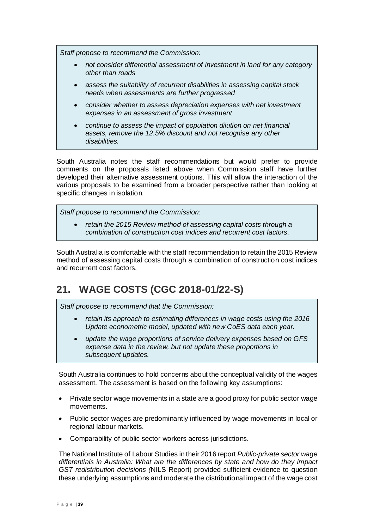*Staff propose to recommend the Commission:*

- *not consider differential assessment of investment in land for any category other than roads*
- *assess the suitability of recurrent disabilities in assessing capital stock needs when assessments are further progressed*
- *consider whether to assess depreciation expenses with net investment expenses in an assessment of gross investment*
- *continue to assess the impact of population dilution on net financial assets, remove the 12.5% discount and not recognise any other disabilities.*

South Australia notes the staff recommendations but would prefer to provide comments on the proposals listed above when Commission staff have further developed their alternative assessment options. This will allow the interaction of the various proposals to be examined from a broader perspective rather than looking at specific changes in isolation.

*Staff propose to recommend the Commission:*

• *retain the 2015 Review method of assessing capital costs through a combination of construction cost indices and recurrent cost factors.*

South Australia is comfortable with the staff recommendation to retain the 2015 Review method of assessing capital costs through a combination of construction cost indices and recurrent cost factors.

# <span id="page-39-0"></span>**21. WAGE COSTS (CGC 2018-01/22-S)**

*Staff propose to recommend that the Commission:*

- *retain its approach to estimating differences in wage costs using the 2016 Update econometric model, updated with new CoES data each year.*
- *update the wage proportions of service delivery expenses based on GFS expense data in the review, but not update these proportions in subsequent updates.*

South Australia continues to hold concerns about the conceptual validity of the wages assessment. The assessment is based on the following key assumptions:

- Private sector wage movements in a state are a good proxy for public sector wage movements.
- Public sector wages are predominantly influenced by wage movements in local or regional labour markets.
- Comparability of public sector workers across jurisdictions.

The National Institute of Labour Studies in their 2016 report *Public-private sector wage differentials in Australia: What are the differences by state and how do they impact GST redistribution decisions (*NILS Report) provided sufficient evidence to question these underlying assumptions and moderate the distributional impact of the wage cost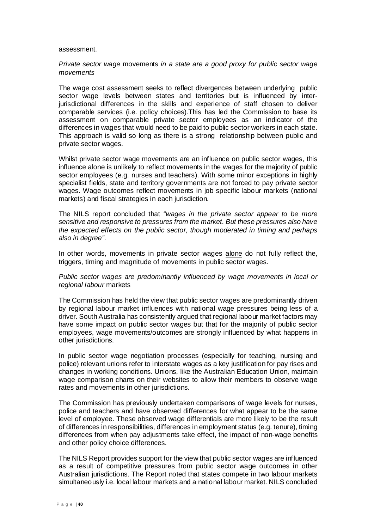#### assessment.

#### *Private sector wage* movements *in a state are a good proxy for public sector wage movements*

The wage cost assessment seeks to reflect divergences between underlying public sector wage levels between states and territories but is influenced by interjurisdictional differences in the skills and experience of staff chosen to deliver comparable services (i.e. policy choices).This has led the Commission to base its assessment on comparable private sector employees as an indicator of the differences in wages that would need to be paid to public sector workers in each state. This approach is valid so long as there is a strong relationship between public and private sector wages.

Whilst private sector wage movements are an influence on public sector wages, this influence alone is unlikely to reflect movements in the wages for the majority of public sector employees (e.g. nurses and teachers). With some minor exceptions in highly specialist fields, state and territory governments are not forced to pay private sector wages. Wage outcomes reflect movements in job specific labour markets (national markets) and fiscal strategies in each jurisdiction.

The NILS report concluded that *"wages in the private sector appear to be more sensitive and responsive to pressures from the market. But these pressures also have the expected effects on the public sector, though moderated in timing and perhaps also in degree"*.

In other words, movements in private sector wages alone do not fully reflect the, triggers, timing and magnitude of movements in public sector wages.

#### *Public sector wages are predominantly influenced by wage movements in local or regional labour* markets

The Commission has held the view that public sector wages are predominantly driven by regional labour market influences with national wage pressures being less of a driver. South Australia has consistently argued that regional labour market factors may have some impact on public sector wages but that for the majority of public sector employees, wage movements/outcomes are strongly influenced by what happens in other jurisdictions.

In public sector wage negotiation processes (especially for teaching, nursing and police) relevant unions refer to interstate wages as a key justification for pay rises and changes in working conditions. Unions, like the Australian Education Union, maintain wage comparison charts on their websites to allow their members to observe wage rates and movements in other jurisdictions.

The Commission has previously undertaken comparisons of wage levels for nurses, police and teachers and have observed differences for what appear to be the same level of employee. These observed wage differentials are more likely to be the result of differences in responsibilities, differences in employment status (e.g. tenure), timing differences from when pay adjustments take effect, the impact of non-wage benefits and other policy choice differences.

The NILS Report provides support for the view that public sector wages are influenced as a result of competitive pressures from public sector wage outcomes in other Australian jurisdictions. The Report noted that states compete in two labour markets simultaneously i.e. local labour markets and a national labour market. NILS concluded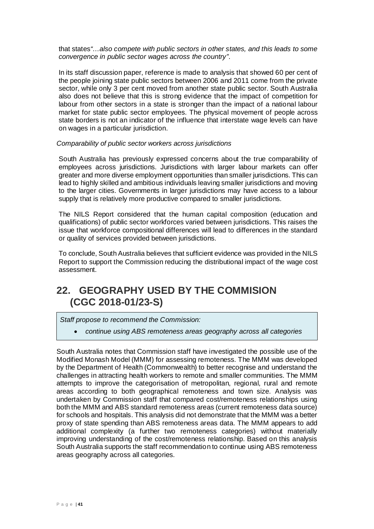that states*"…also compete with public sectors in other states, and this leads to some convergence in public sector wages across the country"*.

In its staff discussion paper, reference is made to analysis that showed 60 per cent of the people joining state public sectors between 2006 and 2011 come from the private sector, while only 3 per cent moved from another state public sector. South Australia also does not believe that this is strong evidence that the impact of competition for labour from other sectors in a state is stronger than the impact of a national labour market for state public sector employees. The physical movement of people across state borders is not an indicator of the influence that interstate wage levels can have on wages in a particular jurisdiction.

#### *Comparability of public sector workers across jurisdictions*

South Australia has previously expressed concerns about the true comparability of employees across jurisdictions. Jurisdictions with larger labour markets can offer greater and more diverse employment opportunities than smaller jurisdictions. This can lead to highly skilled and ambitious individuals leaving smaller jurisdictions and moving to the larger cities. Governments in larger jurisdictions may have access to a labour supply that is relatively more productive compared to smaller jurisdictions.

The NILS Report considered that the human capital composition (education and qualifications) of public sector workforces varied between jurisdictions. This raises the issue that workforce compositional differences will lead to differences in the standard or quality of services provided between jurisdictions.

To conclude, South Australia believes that sufficient evidence was provided in the NILS Report to support the Commission reducing the distributional impact of the wage cost assessment.

### <span id="page-41-0"></span>**22. GEOGRAPHY USED BY THE COMMISION (CGC 2018-01/23-S)**

*Staff propose to recommend the Commission:*

• *continue using ABS remoteness areas geography across all categories*

South Australia notes that Commission staff have investigated the possible use of the Modified Monash Model (MMM) for assessing remoteness. The MMM was developed by the Department of Health (Commonwealth) to better recognise and understand the challenges in attracting health workers to remote and smaller communities. The MMM attempts to improve the categorisation of metropolitan, regional, rural and remote areas according to both geographical remoteness and town size. Analysis was undertaken by Commission staff that compared cost/remoteness relationships using both the MMM and ABS standard remoteness areas (current remoteness data source) for schools and hospitals. This analysis did not demonstrate that the MMM was a better proxy of state spending than ABS remoteness areas data. The MMM appears to add additional complexity (a further two remoteness categories) without materially improving understanding of the cost/remoteness relationship. Based on this analysis South Australia supports the staff recommendation to continue using ABS remoteness areas geography across all categories.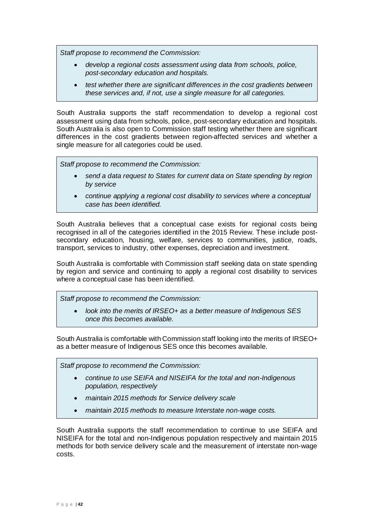*Staff propose to recommend the Commission:*

- *develop a regional costs assessment using data from schools, police, post-secondary education and hospitals.*
- *test whether there are significant differences in the cost gradients between these services and, if not, use a single measure for all categories.*

South Australia supports the staff recommendation to develop a regional cost assessment using data from schools, police, post-secondary education and hospitals. South Australia is also open to Commission staff testing whether there are significant differences in the cost gradients between region-affected services and whether a single measure for all categories could be used.

*Staff propose to recommend the Commission:*

- *send a data request to States for current data on State spending by region by service*
- *continue applying a regional cost disability to services where a conceptual case has been identified.*

South Australia believes that a conceptual case exists for regional costs being recognised in all of the categories identified in the 2015 Review. These include postsecondary education, housing, welfare, services to communities, justice, roads, transport, services to industry, other expenses, depreciation and investment.

South Australia is comfortable with Commission staff seeking data on state spending by region and service and continuing to apply a regional cost disability to services where a conceptual case has been identified.

*Staff propose to recommend the Commission:*

• *look into the merits of IRSEO+ as a better measure of Indigenous SES once this becomes available.*

South Australia is comfortable with Commission staff looking into the merits of IRSEO+ as a better measure of Indigenous SES once this becomes available.

*Staff propose to recommend the Commission:*

- *continue to use SEIFA and NISEIFA for the total and non-Indigenous population, respectively*
- *maintain 2015 methods for Service delivery scale*
- *maintain 2015 methods to measure Interstate non-wage costs.*

South Australia supports the staff recommendation to continue to use SEIFA and NISEIFA for the total and non-Indigenous population respectively and maintain 2015 methods for both service delivery scale and the measurement of interstate non-wage costs.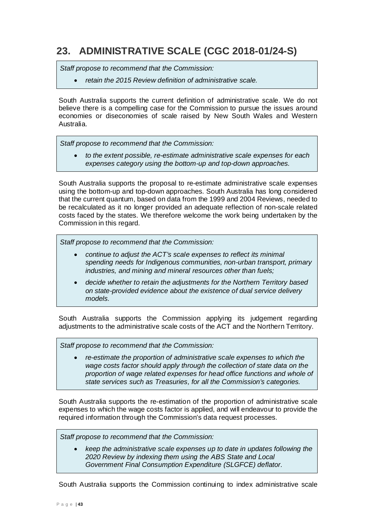# <span id="page-43-0"></span>**23. ADMINISTRATIVE SCALE (CGC 2018-01/24-S)**

*Staff propose to recommend that the Commission:*

• *retain the 2015 Review definition of administrative scale.*

South Australia supports the current definition of administrative scale. We do not believe there is a compelling case for the Commission to pursue the issues around economies or diseconomies of scale raised by New South Wales and Western Australia.

*Staff propose to recommend that the Commission:*

• *to the extent possible, re-estimate administrative scale expenses for each expenses category using the bottom-up and top-down approaches.*

South Australia supports the proposal to re-estimate administrative scale expenses using the bottom-up and top-down approaches. South Australia has long considered that the current quantum, based on data from the 1999 and 2004 Reviews, needed to be recalculated as it no longer provided an adequate reflection of non-scale related costs faced by the states. We therefore welcome the work being undertaken by the Commission in this regard.

*Staff propose to recommend that the Commission:*

- *continue to adjust the ACT's scale expenses to reflect its minimal spending needs for Indigenous communities, non-urban transport, primary industries, and mining and mineral resources other than fuels;*
- *decide whether to retain the adjustments for the Northern Territory based on state-provided evidence about the existence of dual service delivery models.*

South Australia supports the Commission applying its judgement regarding adjustments to the administrative scale costs of the ACT and the Northern Territory.

*Staff propose to recommend that the Commission:*

• *re-estimate the proportion of administrative scale expenses to which the wage costs factor should apply through the collection of state data on the proportion of wage related expenses for head office functions and whole of state services such as Treasuries, for all the Commission's categories.*

South Australia supports the re-estimation of the proportion of administrative scale expenses to which the wage costs factor is applied, and will endeavour to provide the required information through the Commission's data request processes.

*Staff propose to recommend that the Commission:*

• *keep the administrative scale expenses up to date in updates following the 2020 Review by indexing them using the ABS State and Local Government Final Consumption Expenditure (SLGFCE) deflator.*

South Australia supports the Commission continuing to index administrative scale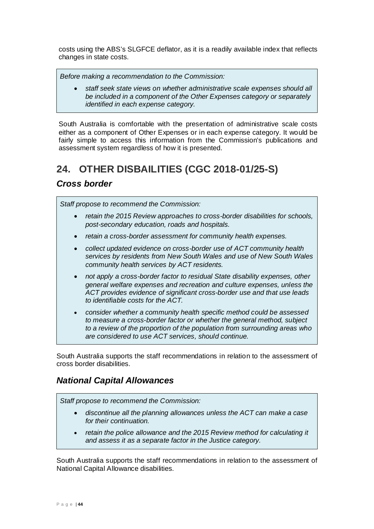costs using the ABS's SLGFCE deflator, as it is a readily available index that reflects changes in state costs.

*Before making a recommendation to the Commission:*

• *staff seek state views on whether administrative scale expenses should all be included in a component of the Other Expenses category or separately identified in each expense category.*

South Australia is comfortable with the presentation of administrative scale costs either as a component of Other Expenses or in each expense category. It would be fairly simple to access this information from the Commission's publications and assessment system regardless of how it is presented.

# <span id="page-44-0"></span>**24. OTHER DISBAILITIES (CGC 2018-01/25-S)**

### *Cross border*

*Staff propose to recommend the Commission:*

- *retain the 2015 Review approaches to cross-border disabilities for schools, post-secondary education, roads and hospitals.*
- *retain a cross-border assessment for community health expenses.*
- *collect updated evidence on cross-border use of ACT community health services by residents from New South Wales and use of New South Wales community health services by ACT residents.*
- *not apply a cross-border factor to residual State disability expenses, other general welfare expenses and recreation and culture expenses, unless the ACT provides evidence of significant cross-border use and that use leads to identifiable costs for the ACT.*
- *consider whether a community health specific method could be assessed to measure a cross-border factor or whether the general method, subject to a review of the proportion of the population from surrounding areas who are considered to use ACT services, should continue.*

South Australia supports the staff recommendations in relation to the assessment of cross border disabilities.

### *National Capital Allowances*

*Staff propose to recommend the Commission:*

- *discontinue all the planning allowances unless the ACT can make a case for their continuation.*
- *retain the police allowance and the 2015 Review method for calculating it and assess it as a separate factor in the Justice category.*

South Australia supports the staff recommendations in relation to the assessment of National Capital Allowance disabilities.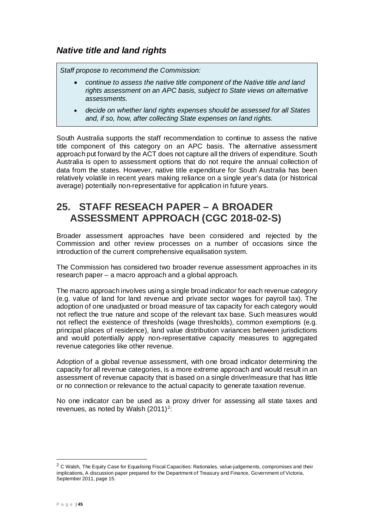*Staff propose to recommend the Commission:*

- *continue to assess the native title component of the Native title and land rights assessment on an APC basis, subject to State views on alternative assessments.*
- *decide on whether land rights expenses should be assessed for all States and, if so, how, after collecting State expenses on land rights.*

South Australia supports the staff recommendation to continue to assess the native title component of this category on an APC basis. The alternative assessment approach put forward by the ACT does not capture all the drivers of expenditure. South Australia is open to assessment options that do not require the annual collection of data from the states. However, native title expenditure for South Australia has been relatively volatile in recent years making reliance on a single year's data (or historical average) potentially non-representative for application in future years.

### <span id="page-45-0"></span>**25. STAFF RESEACH PAPER – A BROADER ASSESSMENT APPROACH (CGC 2018-02-S)**

Broader assessment approaches have been considered and rejected by the Commission and other review processes on a number of occasions since the introduction of the current comprehensive equalisation system.

The Commission has considered two broader revenue assessment approaches in its research paper – a macro approach and a global approach.

The macro approach involves using a single broad indicator for each revenue category (e.g. value of land for land revenue and private sector wages for payroll tax). The adoption of one unadjusted or broad measure of tax capacity for each category would not reflect the true nature and scope of the relevant tax base. Such measures would not reflect the existence of thresholds (wage thresholds), common exemptions (e.g. principal places of residence), land value distribution variances between jurisdictions and would potentially apply non-representative capacity measures to aggregated revenue categories like other revenue.

Adoption of a global revenue assessment, with one broad indicator determining the capacity for all revenue categories, is a more extreme approach and would result in an assessment of revenue capacity that is based on a single driver/measure that has little or no connection or relevance to the actual capacity to generate taxation revenue.

No one indicator can be used as a proxy driver for assessing all state taxes and revenues, as noted by Walsh  $(2011)^2$  $(2011)^2$  $(2011)^2$ :

<span id="page-45-1"></span><sup>&</sup>lt;sup>2</sup> C Walsh, The Equity Case for Equalising Fiscal Capacities: Rationales, value-judgements, compromises and their implications, A discussion paper prepared for the Department of Treasury and Finance, Government of Victoria, September 2011, page 15.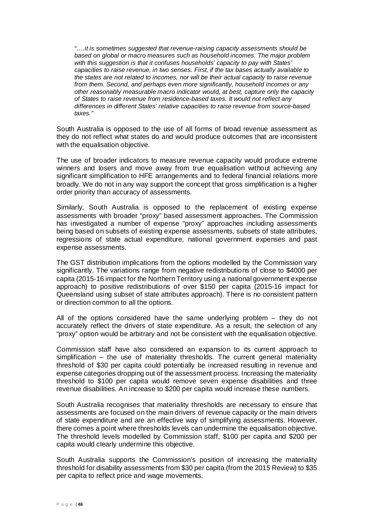*"….it is sometimes suggested that revenue-raising capacity assessments should be based on global or macro measures such as household incomes. The major problem with this suggestion is that it confuses households' capacity to pay with States' capacities to raise revenue, in two senses. First, if the tax bases actually available to the states are not related to incomes, nor will be their actual capacity to raise revenue from them. Second, and perhaps even more significantly, household incomes or any other reasonably measurable macro indicator would, at best, capture only the capacity of States to raise revenue from residence-based taxes. It would not reflect any differences in different States' relative capacities to raise revenue from source-based taxes."*

South Australia is opposed to the use of all forms of broad revenue assessment as they do not reflect what states do and would produce outcomes that are inconsistent with the equalisation objective.

The use of broader indicators to measure revenue capacity would produce extreme winners and losers and move away from true equalisation without achieving any significant simplification to HFE arrangements and to federal financial relations more broadly. We do not in any way support the concept that gross simplification is a higher order priority than accuracy of assessments.

Similarly, South Australia is opposed to the replacement of existing expense assessments with broader "proxy" based assessment approaches. The Commission has investigated a number of expense "proxy" approaches including assessments being based on subsets of existing expense assessments, subsets of state attributes, regressions of state actual expenditure, national government expenses and past expense assessments.

The GST distribution implications from the options modelled by the Commission vary significantly. The variations range from negative redistributions of close to \$4000 per capita (2015-16 impact for the Northern Territory using a national government expense approach) to positive redistributions of over \$150 per capita (2015-16 impact for Queensland using subset of state attributes approach). There is no consistent pattern or direction common to all the options.

All of the options considered have the same underlying problem – they do not accurately reflect the drivers of state expenditure. As a result, the selection of any "proxy" option would be arbitrary and not be consistent with the equalisation objective.

Commission staff have also considered an expansion to its current approach to simplification – the use of materiality thresholds. The current general materiality threshold of \$30 per capita could potentially be increased resulting in revenue and expense categories dropping out of the assessment process. Increasing the materiality threshold to \$100 per capita would remove seven expense disabilities and three revenue disabilities. An increase to \$200 per capita would increase these numbers.

South Australia recognises that materiality thresholds are necessary to ensure that assessments are focused on the main drivers of revenue capacity or the main drivers of state expenditure and are an effective way of simplifying assessments. However, there comes a point where thresholds levels can undermine the equalisation objective. The threshold levels modelled by Commission staff, \$100 per capita and \$200 per capita would clearly undermine this objective.

South Australia supports the Commission's position of increasing the materiality threshold for disability assessments from \$30 per capita (from the 2015 Review) to \$35 per capita to reflect price and wage movements.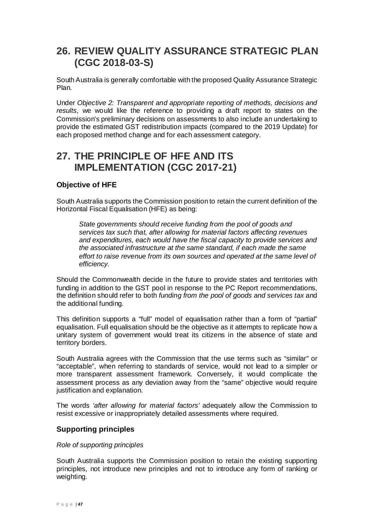### <span id="page-47-0"></span>**26. REVIEW QUALITY ASSURANCE STRATEGIC PLAN (CGC 2018-03-S)**

South Australia is generally comfortable with the proposed Quality Assurance Strategic Plan.

Under *Objective 2: Transparent and appropriate reporting of methods, decisions and results*, we would like the reference to providing a draft report to states on the Commission's preliminary decisions on assessments to also include an undertaking to provide the estimated GST redistribution impacts (compared to the 2019 Update) for each proposed method change and for each assessment category.

### <span id="page-47-1"></span>**27. THE PRINCIPLE OF HFE AND ITS IMPLEMENTATION (CGC 2017-21)**

#### **Objective of HFE**

South Australia supports the Commission position to retain the current definition of the Horizontal Fiscal Equalisation (HFE) as being:

*State governments should receive funding from the pool of goods and services tax such that, after allowing for material factors affecting revenues and expenditures, each would have the fiscal capacity to provide services and the associated infrastructure at the same standard, if each made the same effort to raise revenue from its own sources and operated at the same level of efficiency.*

Should the Commonwealth decide in the future to provide states and territories with funding in addition to the GST pool in response to the PC Report recommendations, the definition should refer to both *funding from the pool of goods and services tax* and the additional funding.

This definition supports a "full" model of equalisation rather than a form of "partial" equalisation. Full equalisation should be the objective as it attempts to replicate how a unitary system of government would treat its citizens in the absence of state and territory borders.

South Australia agrees with the Commission that the use terms such as "similar" or "acceptable", when referring to standards of service, would not lead to a simpler or more transparent assessment framework. Conversely, it would complicate the assessment process as any deviation away from the "same" objective would require justification and explanation.

The words *'after allowing for material factors'* adequately allow the Commission to resist excessive or inappropriately detailed assessments where required.

#### **Supporting principles**

#### *Role of supporting principles*

South Australia supports the Commission position to retain the existing supporting principles, not introduce new principles and not to introduce any form of ranking or weighting.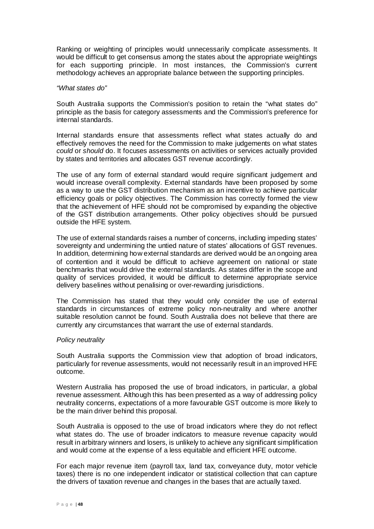Ranking or weighting of principles would unnecessarily complicate assessments. It would be difficult to get consensus among the states about the appropriate weightings for each supporting principle. In most instances, the Commission's current methodology achieves an appropriate balance between the supporting principles.

#### *"What states do"*

South Australia supports the Commission's position to retain the "what states do" principle as the basis for category assessments and the Commission's preference for internal standards.

Internal standards ensure that assessments reflect what states actually do and effectively removes the need for the Commission to make judgements on what states *could* or *should* do. It focuses assessments on activities or services actually provided by states and territories and allocates GST revenue accordingly.

The use of any form of external standard would require significant judgement and would increase overall complexity. External standards have been proposed by some as a way to use the GST distribution mechanism as an incentive to achieve particular efficiency goals or policy objectives. The Commission has correctly formed the view that the achievement of HFE should not be compromised by expanding the objective of the GST distribution arrangements. Other policy objectives should be pursued outside the HFE system.

The use of external standards raises a number of concerns, including impeding states' sovereignty and undermining the untied nature of states' allocations of GST revenues. In addition, determining how external standards are derived would be an ongoing area of contention and it would be difficult to achieve agreement on national or state benchmarks that would drive the external standards. As states differ in the scope and quality of services provided, it would be difficult to determine appropriate service delivery baselines without penalising or over-rewarding jurisdictions.

The Commission has stated that they would only consider the use of external standards in circumstances of extreme policy non-neutrality and where another suitable resolution cannot be found. South Australia does not believe that there are currently any circumstances that warrant the use of external standards.

#### *Policy neutrality*

South Australia supports the Commission view that adoption of broad indicators, particularly for revenue assessments, would not necessarily result in an improved HFE outcome.

Western Australia has proposed the use of broad indicators, in particular, a global revenue assessment. Although this has been presented as a way of addressing policy neutrality concerns, expectations of a more favourable GST outcome is more likely to be the main driver behind this proposal.

South Australia is opposed to the use of broad indicators where they do not reflect what states do. The use of broader indicators to measure revenue capacity would result in arbitrary winners and losers, is unlikely to achieve any significant simplification and would come at the expense of a less equitable and efficient HFE outcome.

For each major revenue item (payroll tax, land tax, conveyance duty, motor vehicle taxes) there is no one independent indicator or statistical collection that can capture the drivers of taxation revenue and changes in the bases that are actually taxed.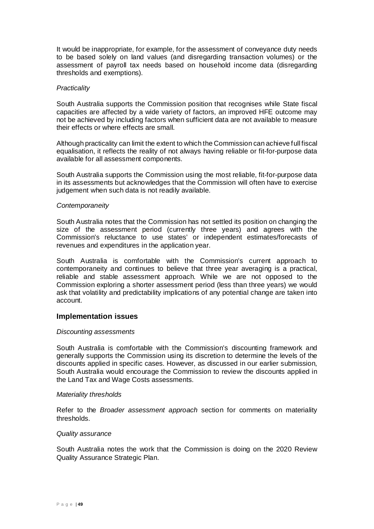It would be inappropriate, for example, for the assessment of conveyance duty needs to be based solely on land values (and disregarding transaction volumes) or the assessment of payroll tax needs based on household income data (disregarding thresholds and exemptions).

#### *Practicality*

South Australia supports the Commission position that recognises while State fiscal capacities are affected by a wide variety of factors, an improved HFE outcome may not be achieved by including factors when sufficient data are not available to measure their effects or where effects are small.

Although practicality can limit the extent to which the Commission can achieve full fiscal equalisation, it reflects the reality of not always having reliable or fit-for-purpose data available for all assessment components.

South Australia supports the Commission using the most reliable, fit-for-purpose data in its assessments but acknowledges that the Commission will often have to exercise judgement when such data is not readily available.

#### *Contemporaneity*

South Australia notes that the Commission has not settled its position on changing the size of the assessment period (currently three years) and agrees with the Commission's reluctance to use states' or independent estimates/forecasts of revenues and expenditures in the application year.

South Australia is comfortable with the Commission's current approach to contemporaneity and continues to believe that three year averaging is a practical, reliable and stable assessment approach. While we are not opposed to the Commission exploring a shorter assessment period (less than three years) we would ask that volatility and predictability implications of any potential change are taken into account.

#### **Implementation issues**

#### *Discounting assessments*

South Australia is comfortable with the Commission's discounting framework and generally supports the Commission using its discretion to determine the levels of the discounts applied in specific cases. However, as discussed in our earlier submission, South Australia would encourage the Commission to review the discounts applied in the Land Tax and Wage Costs assessments.

#### *Materiality thresholds*

Refer to the *Broader assessment approach* section for comments on materiality thresholds.

#### *Quality assurance*

South Australia notes the work that the Commission is doing on the 2020 Review Quality Assurance Strategic Plan.